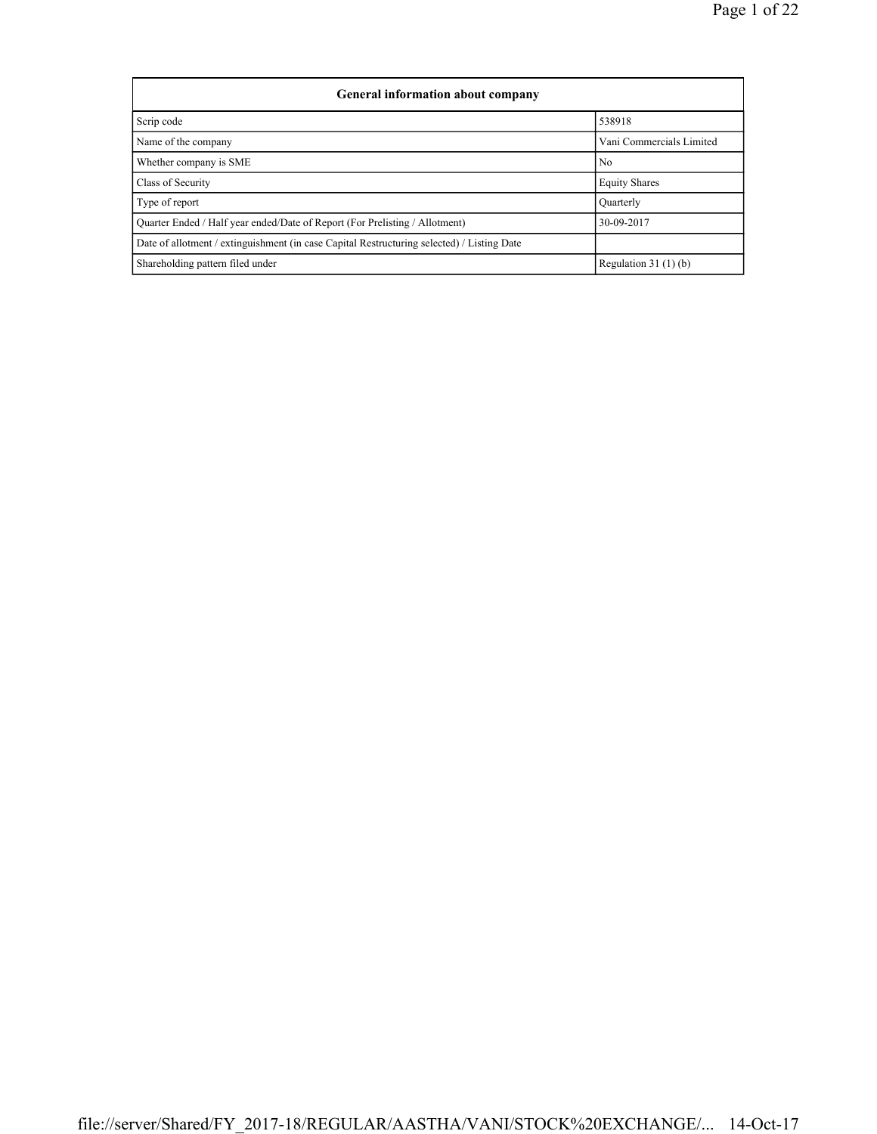| General information about company                                                          |                          |
|--------------------------------------------------------------------------------------------|--------------------------|
| Scrip code                                                                                 | 538918                   |
| Name of the company                                                                        | Vani Commercials Limited |
| Whether company is SME                                                                     | N <sub>0</sub>           |
| Class of Security                                                                          | <b>Equity Shares</b>     |
| Type of report                                                                             | Ouarterly                |
| Ouarter Ended / Half year ended/Date of Report (For Prelisting / Allotment)                | 30-09-2017               |
| Date of allotment / extinguishment (in case Capital Restructuring selected) / Listing Date |                          |
| Shareholding pattern filed under                                                           | Regulation $31(1)(b)$    |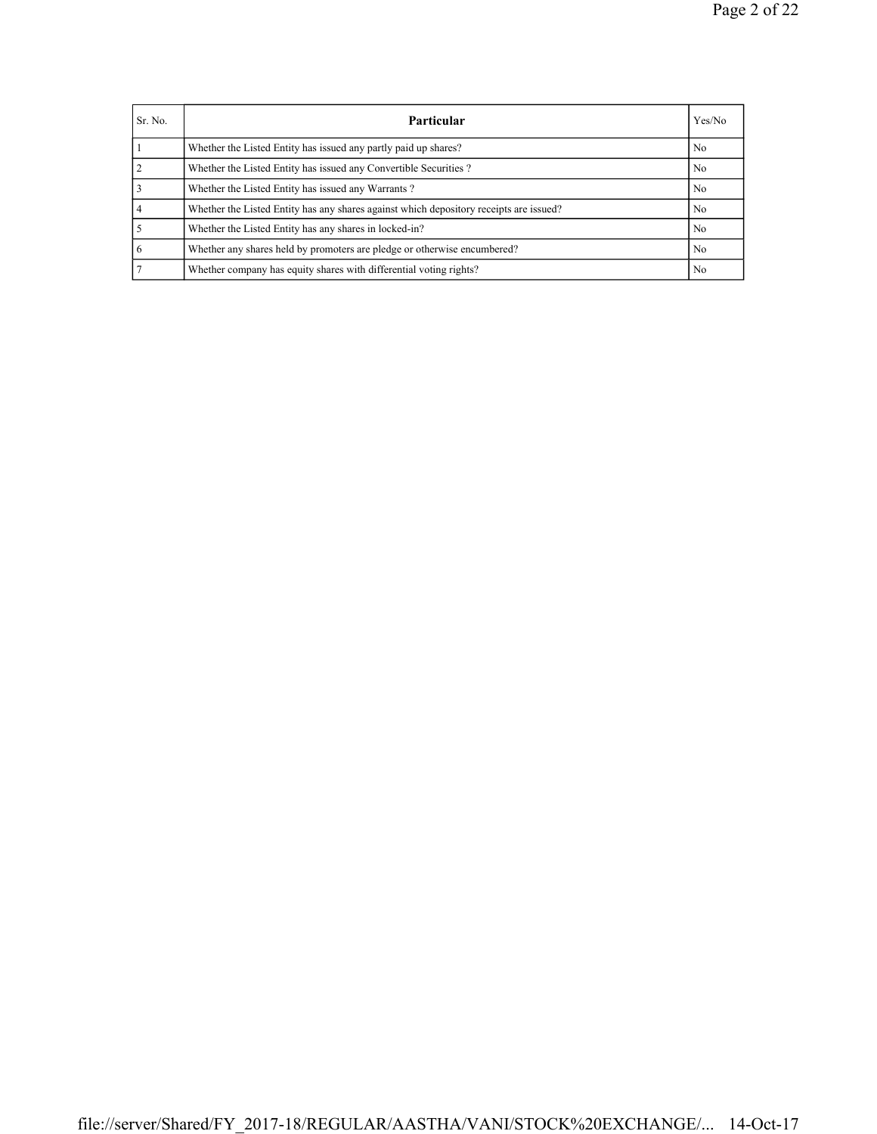| Sr. No.        | Particular                                                                             | Yes/No         |
|----------------|----------------------------------------------------------------------------------------|----------------|
|                | Whether the Listed Entity has issued any partly paid up shares?                        | N <sub>0</sub> |
| $\overline{2}$ | Whether the Listed Entity has issued any Convertible Securities?                       | N <sub>0</sub> |
|                | Whether the Listed Entity has issued any Warrants?                                     | N <sub>0</sub> |
| $\overline{4}$ | Whether the Listed Entity has any shares against which depository receipts are issued? | No             |
|                | Whether the Listed Entity has any shares in locked-in?                                 | N <sub>0</sub> |
| -6             | Whether any shares held by promoters are pledge or otherwise encumbered?               | N <sub>0</sub> |
|                | Whether company has equity shares with differential voting rights?                     | No             |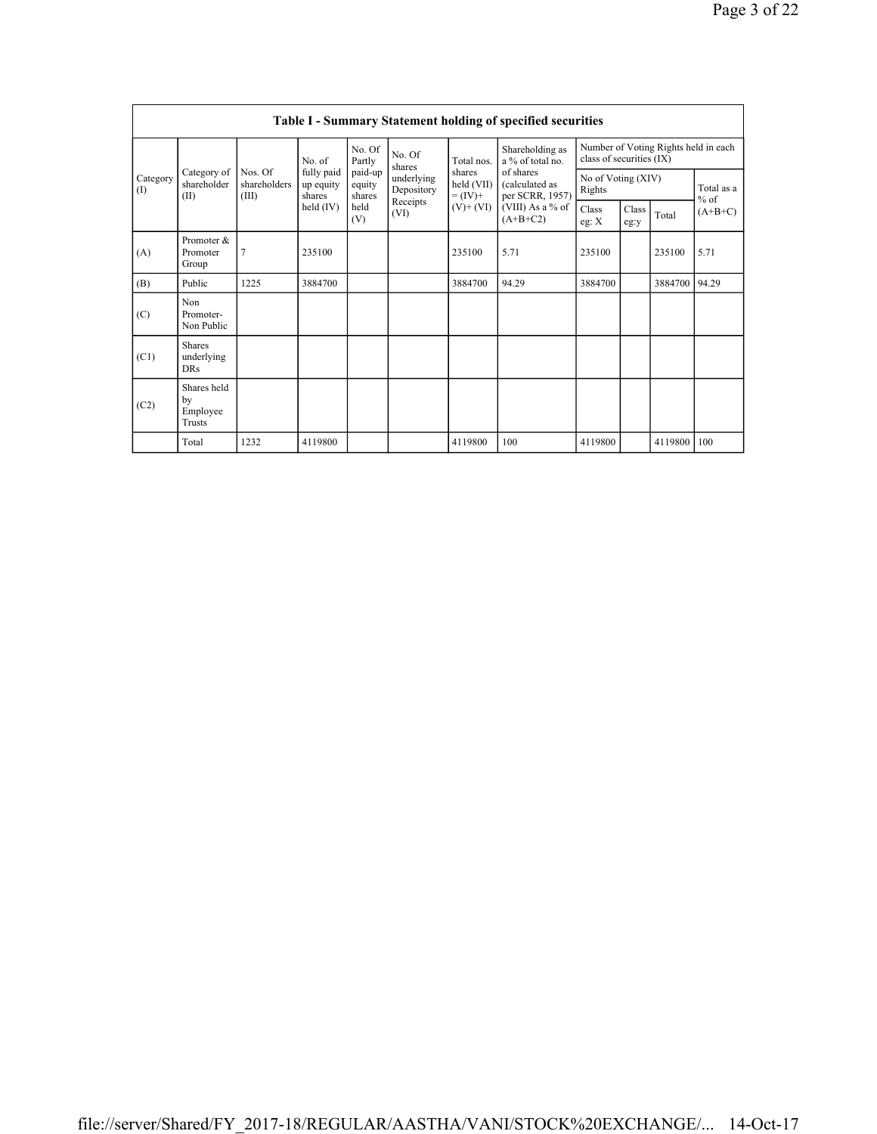|                 | Table I - Summary Statement holding of specified securities |                                  |                                                            |                             |                          |                                                  |                                                |                              |               |                                      |                     |  |  |
|-----------------|-------------------------------------------------------------|----------------------------------|------------------------------------------------------------|-----------------------------|--------------------------|--------------------------------------------------|------------------------------------------------|------------------------------|---------------|--------------------------------------|---------------------|--|--|
|                 | Category of<br>shareholder<br>(II)                          | Nos. Of<br>shareholders<br>(III) | No. of<br>fully paid<br>up equity<br>shares<br>held $(IV)$ | No. Of<br>Partly            | No. Of<br>shares         | Total nos.                                       | Shareholding as<br>a % of total no.            | class of securities (IX)     |               | Number of Voting Rights held in each |                     |  |  |
| Category<br>(1) |                                                             |                                  |                                                            | paid-up<br>equity<br>shares | underlying<br>Depository | shares<br>held (VII)<br>$= (IV) +$<br>$(V)+(VI)$ | of shares<br>(calculated as<br>per SCRR, 1957) | No of Voting (XIV)<br>Rights |               |                                      | Total as a          |  |  |
|                 |                                                             |                                  |                                                            | held<br>(V)                 | Receipts<br>(VI)         |                                                  | (VIII) As a % of<br>$(A+B+C2)$                 | Class<br>eg: $X$             | Class<br>eg:y | Total                                | $%$ of<br>$(A+B+C)$ |  |  |
| (A)             | Promoter &<br>Promoter<br>Group                             | 7                                | 235100                                                     |                             |                          | 235100                                           | 5.71                                           | 235100                       |               | 235100                               | 5.71                |  |  |
| (B)             | Public                                                      | 1225                             | 3884700                                                    |                             |                          | 3884700                                          | 94.29                                          | 3884700                      |               | 3884700                              | 94.29               |  |  |
| (C)             | Non<br>Promoter-<br>Non Public                              |                                  |                                                            |                             |                          |                                                  |                                                |                              |               |                                      |                     |  |  |
| (C1)            | <b>Shares</b><br>underlying<br><b>DRs</b>                   |                                  |                                                            |                             |                          |                                                  |                                                |                              |               |                                      |                     |  |  |
| (C2)            | Shares held<br>by<br>Employee<br>Trusts                     |                                  |                                                            |                             |                          |                                                  |                                                |                              |               |                                      |                     |  |  |
|                 | Total                                                       | 1232                             | 4119800                                                    |                             |                          | 4119800                                          | 100                                            | 4119800                      |               | 4119800                              | 100                 |  |  |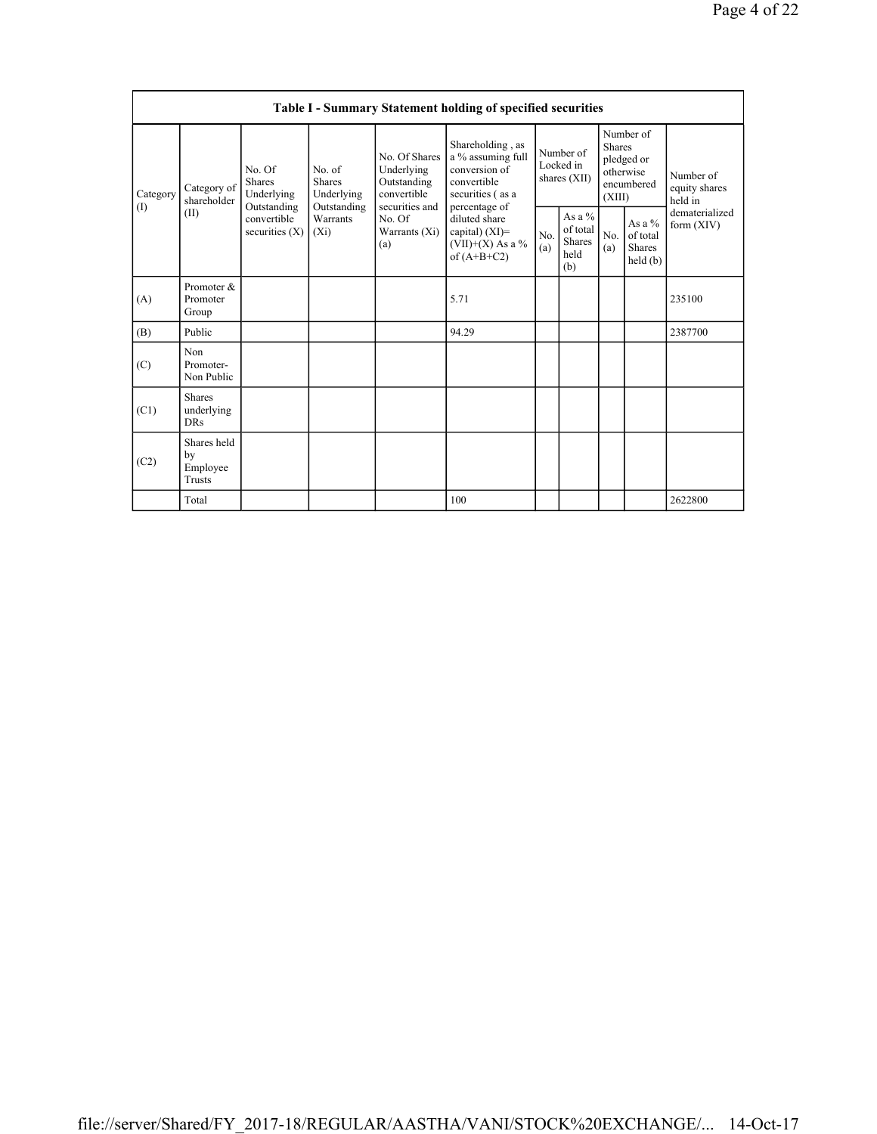|                 | Table I - Summary Statement holding of specified securities |                                                                                         |                                                                             |                                                                                                               |                                                                                                            |                                        |                                                      |                                                                               |                                         |                                       |  |  |
|-----------------|-------------------------------------------------------------|-----------------------------------------------------------------------------------------|-----------------------------------------------------------------------------|---------------------------------------------------------------------------------------------------------------|------------------------------------------------------------------------------------------------------------|----------------------------------------|------------------------------------------------------|-------------------------------------------------------------------------------|-----------------------------------------|---------------------------------------|--|--|
| Category<br>(1) | Category of<br>shareholder<br>(II)                          | No. Of<br><b>Shares</b><br>Underlying<br>Outstanding<br>convertible<br>securities $(X)$ | No. of<br><b>Shares</b><br>Underlying<br>Outstanding<br>Warrants<br>$(X_i)$ | No. Of Shares<br>Underlying<br>Outstanding<br>convertible<br>securities and<br>No. Of<br>Warrants (Xi)<br>(a) | Shareholding, as<br>a % assuming full<br>conversion of<br>convertible<br>securities (as a<br>percentage of | Number of<br>Locked in<br>shares (XII) |                                                      | Number of<br><b>Shares</b><br>pledged or<br>otherwise<br>encumbered<br>(XIII) |                                         | Number of<br>equity shares<br>held in |  |  |
|                 |                                                             |                                                                                         |                                                                             |                                                                                                               | diluted share<br>capital) $(XI)$ =<br>(VII)+(X) As a %<br>of $(A+B+C2)$                                    | No.<br>(a)                             | As a $%$<br>of total<br><b>Shares</b><br>held<br>(b) | No.<br>(a)                                                                    | As a %<br>of total<br>Shares<br>held(b) | dematerialized<br>form (XIV)          |  |  |
| (A)             | Promoter &<br>Promoter<br>Group                             |                                                                                         |                                                                             |                                                                                                               | 5.71                                                                                                       |                                        |                                                      |                                                                               |                                         | 235100                                |  |  |
| (B)             | Public                                                      |                                                                                         |                                                                             |                                                                                                               | 94.29                                                                                                      |                                        |                                                      |                                                                               |                                         | 2387700                               |  |  |
| (C)             | Non<br>Promoter-<br>Non Public                              |                                                                                         |                                                                             |                                                                                                               |                                                                                                            |                                        |                                                      |                                                                               |                                         |                                       |  |  |
| (C1)            | <b>Shares</b><br>underlying<br><b>DRs</b>                   |                                                                                         |                                                                             |                                                                                                               |                                                                                                            |                                        |                                                      |                                                                               |                                         |                                       |  |  |
| (C2)            | Shares held<br>by<br>Employee<br>Trusts                     |                                                                                         |                                                                             |                                                                                                               |                                                                                                            |                                        |                                                      |                                                                               |                                         |                                       |  |  |
|                 | Total                                                       |                                                                                         |                                                                             |                                                                                                               | 100                                                                                                        |                                        |                                                      |                                                                               |                                         | 2622800                               |  |  |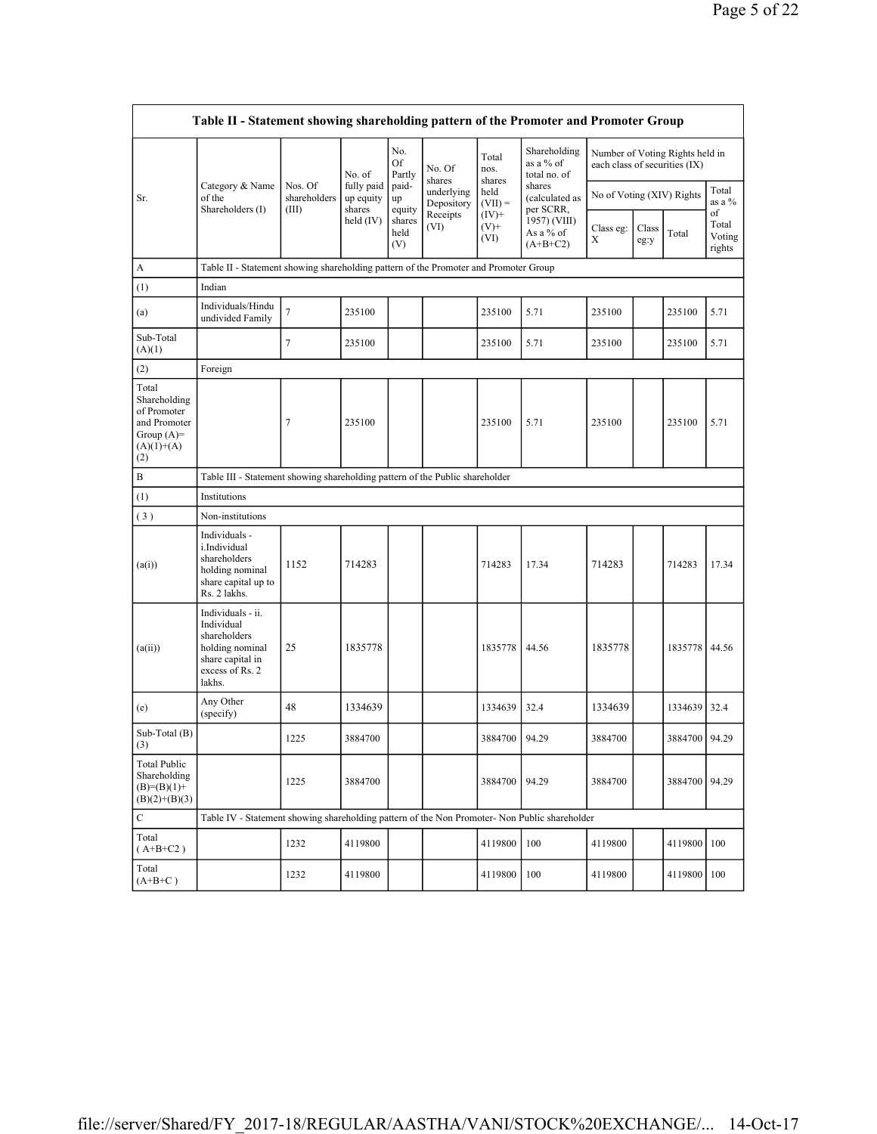|                                                                                             | Table II - Statement showing shareholding pattern of the Promoter and Promoter Group                                |                                                                              |                         |                                 |                          |                             |                                                                                  |                           |               |                                                                  |                                 |  |  |  |
|---------------------------------------------------------------------------------------------|---------------------------------------------------------------------------------------------------------------------|------------------------------------------------------------------------------|-------------------------|---------------------------------|--------------------------|-----------------------------|----------------------------------------------------------------------------------|---------------------------|---------------|------------------------------------------------------------------|---------------------------------|--|--|--|
|                                                                                             |                                                                                                                     |                                                                              | No. of                  | No.<br>Of<br>Partly             | No. Of<br>shares         | Total<br>nos.<br>shares     | Shareholding<br>as a % of<br>total no. of                                        |                           |               | Number of Voting Rights held in<br>each class of securities (IX) |                                 |  |  |  |
| Sr.                                                                                         | Category & Name<br>of the                                                                                           | Nos. Of<br>shareholders                                                      | fully paid<br>up equity | paid-<br>up                     | underlying<br>Depository | held<br>$(VII) =$           | shares<br>(calculated as<br>per SCRR,<br>1957) (VIII)<br>As a % of<br>$(A+B+C2)$ | No of Voting (XIV) Rights |               |                                                                  | Total<br>as a %                 |  |  |  |
|                                                                                             | Shareholders (I)                                                                                                    | (III)                                                                        | shares<br>held $(IV)$   | equity<br>shares<br>held<br>(V) | Receipts<br>(VI)         | $(IV)$ +<br>$(V)$ +<br>(VI) |                                                                                  | Class eg:<br>Χ            | Class<br>eg:y | Total                                                            | of<br>Total<br>Voting<br>rights |  |  |  |
| A                                                                                           | Table II - Statement showing shareholding pattern of the Promoter and Promoter Group                                |                                                                              |                         |                                 |                          |                             |                                                                                  |                           |               |                                                                  |                                 |  |  |  |
| (1)                                                                                         | Indian                                                                                                              |                                                                              |                         |                                 |                          |                             |                                                                                  |                           |               |                                                                  |                                 |  |  |  |
| (a)                                                                                         | Individuals/Hindu<br>undivided Family                                                                               | 7                                                                            | 235100                  |                                 |                          | 235100                      | 5.71                                                                             | 235100                    |               | 235100                                                           | 5.71                            |  |  |  |
| Sub-Total<br>(A)(1)                                                                         |                                                                                                                     | 7                                                                            | 235100                  |                                 |                          | 235100                      | 5.71                                                                             | 235100                    |               | 235100                                                           | 5.71                            |  |  |  |
| (2)                                                                                         | Foreign                                                                                                             |                                                                              |                         |                                 |                          |                             |                                                                                  |                           |               |                                                                  |                                 |  |  |  |
| Total<br>Shareholding<br>of Promoter<br>and Promoter<br>Group $(A)=$<br>$(A)(1)+(A)$<br>(2) |                                                                                                                     | 7                                                                            | 235100                  |                                 |                          | 235100                      | 5.71                                                                             | 235100                    |               | 235100                                                           | 5.71                            |  |  |  |
| B                                                                                           |                                                                                                                     | Table III - Statement showing shareholding pattern of the Public shareholder |                         |                                 |                          |                             |                                                                                  |                           |               |                                                                  |                                 |  |  |  |
| (1)                                                                                         | Institutions                                                                                                        |                                                                              |                         |                                 |                          |                             |                                                                                  |                           |               |                                                                  |                                 |  |  |  |
| (3)                                                                                         | Non-institutions                                                                                                    |                                                                              |                         |                                 |                          |                             |                                                                                  |                           |               |                                                                  |                                 |  |  |  |
| (a(i))                                                                                      | Individuals -<br>i.Individual<br>shareholders<br>holding nominal<br>share capital up to<br>Rs. 2 lakhs.             | 1152                                                                         | 714283                  |                                 |                          | 714283                      | 17.34                                                                            | 714283                    |               | 714283                                                           | 17.34                           |  |  |  |
| (a(ii))                                                                                     | Individuals - ii.<br>Individual<br>shareholders<br>holding nominal<br>share capital in<br>excess of Rs. 2<br>lakhs. | 25                                                                           | 1835778                 |                                 |                          | 1835778                     | 44.56                                                                            | 1835778                   |               | 1835778                                                          | 44.56                           |  |  |  |
| (e)                                                                                         | Any Other<br>(specify)                                                                                              | 48                                                                           | 1334639                 |                                 |                          | 1334639                     | 32.4                                                                             | 1334639                   |               | 1334639                                                          | 32.4                            |  |  |  |
| Sub-Total (B)<br>(3)                                                                        |                                                                                                                     | 1225                                                                         | 3884700                 |                                 |                          | 3884700                     | 94.29                                                                            | 3884700                   |               | 3884700 94.29                                                    |                                 |  |  |  |
| <b>Total Public</b><br>Shareholding<br>$(B)= (B)(1) +$<br>$(B)(2)+(B)(3)$                   |                                                                                                                     | 1225                                                                         | 3884700                 |                                 |                          | 3884700                     | 94.29                                                                            | 3884700                   |               | 3884700                                                          | 94.29                           |  |  |  |
| $\mathbf C$                                                                                 | Table IV - Statement showing shareholding pattern of the Non Promoter- Non Public shareholder                       |                                                                              |                         |                                 |                          |                             |                                                                                  |                           |               |                                                                  |                                 |  |  |  |
| Total<br>$(A+B+C2)$                                                                         |                                                                                                                     | 1232                                                                         | 4119800                 |                                 |                          | 4119800                     | 100                                                                              | 4119800                   |               | 4119800                                                          | 100                             |  |  |  |
| Total<br>$(A+B+C)$                                                                          |                                                                                                                     | 1232                                                                         | 4119800                 |                                 |                          | 4119800                     | 100                                                                              | 4119800                   |               | 4119800                                                          | 100                             |  |  |  |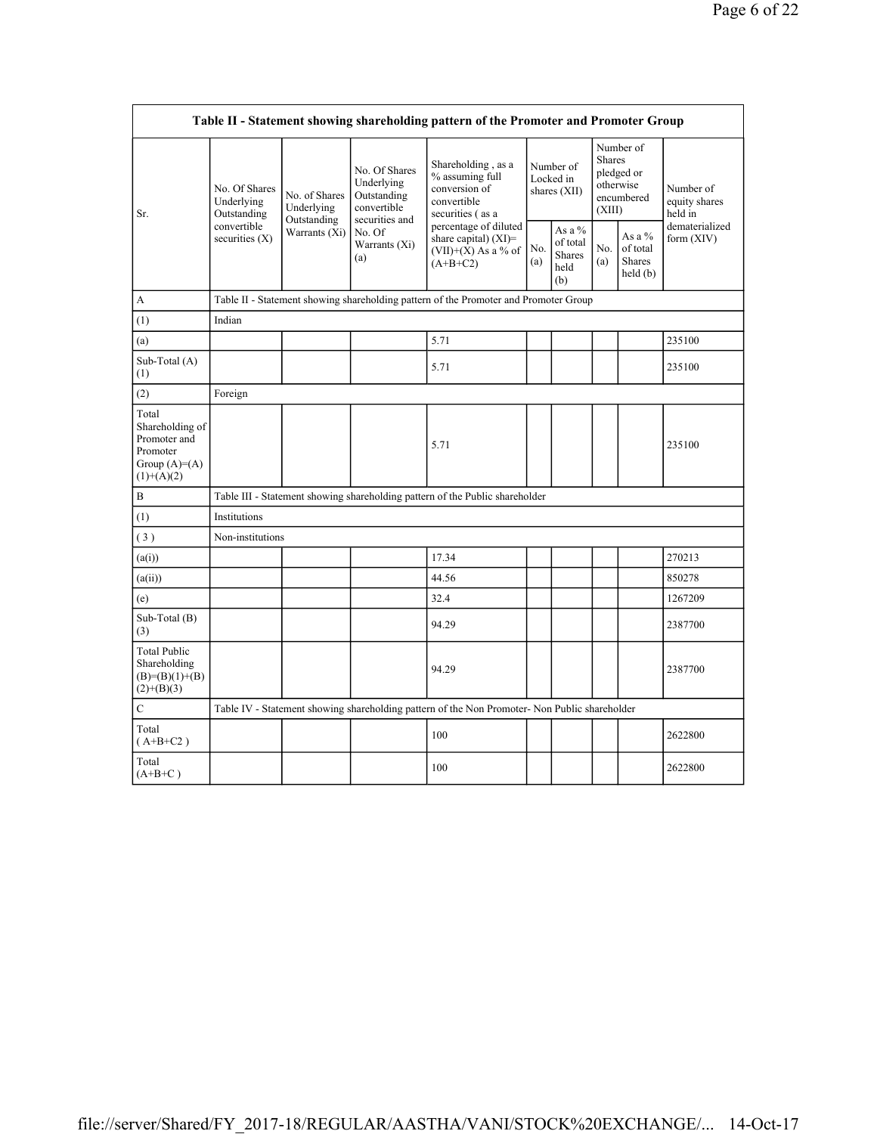|                                                                                          | Table II - Statement showing shareholding pattern of the Promoter and Promoter Group |                                                             |                                                                                                               |                                                                                               |                                          |                                                    |                                                                               |                                         |                                       |  |  |  |  |
|------------------------------------------------------------------------------------------|--------------------------------------------------------------------------------------|-------------------------------------------------------------|---------------------------------------------------------------------------------------------------------------|-----------------------------------------------------------------------------------------------|------------------------------------------|----------------------------------------------------|-------------------------------------------------------------------------------|-----------------------------------------|---------------------------------------|--|--|--|--|
| Sr.                                                                                      | No. Of Shares<br>Underlying<br>Outstanding<br>convertible<br>securities $(X)$        | No. of Shares<br>Underlying<br>Outstanding<br>Warrants (Xi) | No. Of Shares<br>Underlying<br>Outstanding<br>convertible<br>securities and<br>No. Of<br>Warrants (Xi)<br>(a) | Shareholding, as a<br>% assuming full<br>conversion of<br>convertible<br>securities (as a     | Number of<br>Locked in<br>shares $(XII)$ |                                                    | Number of<br><b>Shares</b><br>pledged or<br>otherwise<br>encumbered<br>(XIII) |                                         | Number of<br>equity shares<br>held in |  |  |  |  |
|                                                                                          |                                                                                      |                                                             |                                                                                                               | percentage of diluted<br>share capital) (XI)=<br>$(VII)+(X)$ As a % of<br>$(A+B+C2)$          | No.<br>(a)                               | As a %<br>of total<br><b>Shares</b><br>held<br>(b) | No.<br>(a)                                                                    | As a %<br>of total<br>Shares<br>held(b) | dematerialized<br>form $(XIV)$        |  |  |  |  |
| А                                                                                        |                                                                                      |                                                             |                                                                                                               | Table II - Statement showing shareholding pattern of the Promoter and Promoter Group          |                                          |                                                    |                                                                               |                                         |                                       |  |  |  |  |
| (1)                                                                                      | Indian                                                                               |                                                             |                                                                                                               |                                                                                               |                                          |                                                    |                                                                               |                                         |                                       |  |  |  |  |
| (a)                                                                                      |                                                                                      |                                                             |                                                                                                               | 5.71                                                                                          |                                          |                                                    |                                                                               |                                         | 235100                                |  |  |  |  |
| Sub-Total (A)<br>(1)                                                                     |                                                                                      |                                                             |                                                                                                               | 5.71                                                                                          |                                          |                                                    |                                                                               |                                         | 235100                                |  |  |  |  |
| (2)                                                                                      | Foreign                                                                              |                                                             |                                                                                                               |                                                                                               |                                          |                                                    |                                                                               |                                         |                                       |  |  |  |  |
| Total<br>Shareholding of<br>Promoter and<br>Promoter<br>Group $(A)= (A)$<br>$(1)+(A)(2)$ |                                                                                      |                                                             |                                                                                                               | 5.71                                                                                          |                                          |                                                    |                                                                               |                                         | 235100                                |  |  |  |  |
| $\, {\bf B}$                                                                             |                                                                                      |                                                             |                                                                                                               | Table III - Statement showing shareholding pattern of the Public shareholder                  |                                          |                                                    |                                                                               |                                         |                                       |  |  |  |  |
| (1)                                                                                      | Institutions                                                                         |                                                             |                                                                                                               |                                                                                               |                                          |                                                    |                                                                               |                                         |                                       |  |  |  |  |
| (3)                                                                                      | Non-institutions                                                                     |                                                             |                                                                                                               |                                                                                               |                                          |                                                    |                                                                               |                                         |                                       |  |  |  |  |
| (a(i))                                                                                   |                                                                                      |                                                             |                                                                                                               | 17.34                                                                                         |                                          |                                                    |                                                                               |                                         | 270213                                |  |  |  |  |
| (a(ii))                                                                                  |                                                                                      |                                                             |                                                                                                               | 44.56                                                                                         |                                          |                                                    |                                                                               |                                         | 850278                                |  |  |  |  |
| (e)                                                                                      |                                                                                      |                                                             |                                                                                                               | 32.4                                                                                          |                                          |                                                    |                                                                               |                                         | 1267209                               |  |  |  |  |
| Sub-Total (B)<br>(3)                                                                     |                                                                                      |                                                             |                                                                                                               | 94.29                                                                                         |                                          |                                                    |                                                                               |                                         | 2387700                               |  |  |  |  |
| <b>Total Public</b><br>Shareholding<br>$(B)=(B)(1)+(B)$<br>$(2)+(B)(3)$                  |                                                                                      |                                                             |                                                                                                               | 94.29                                                                                         |                                          |                                                    |                                                                               |                                         | 2387700                               |  |  |  |  |
| $\mathbf C$                                                                              |                                                                                      |                                                             |                                                                                                               | Table IV - Statement showing shareholding pattern of the Non Promoter- Non Public shareholder |                                          |                                                    |                                                                               |                                         |                                       |  |  |  |  |
| Total<br>$(A+B+C2)$                                                                      |                                                                                      |                                                             |                                                                                                               | 100                                                                                           |                                          |                                                    |                                                                               |                                         | 2622800                               |  |  |  |  |
| Total<br>$(A+B+C)$                                                                       |                                                                                      |                                                             |                                                                                                               | 100                                                                                           |                                          |                                                    |                                                                               |                                         | 2622800                               |  |  |  |  |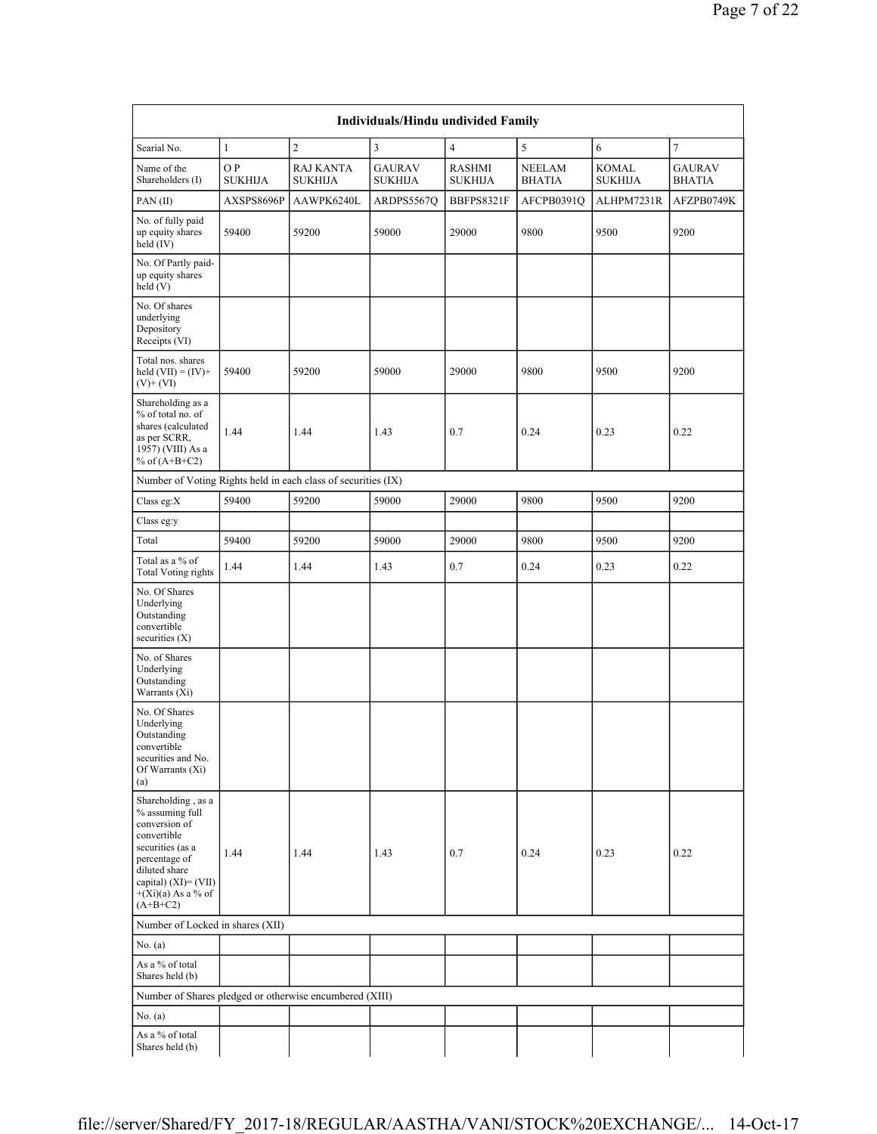|                                                                                                                                                                                              | Individuals/Hindu undivided Family |                                    |                                 |                          |                                |                         |                                |  |  |  |  |  |  |
|----------------------------------------------------------------------------------------------------------------------------------------------------------------------------------------------|------------------------------------|------------------------------------|---------------------------------|--------------------------|--------------------------------|-------------------------|--------------------------------|--|--|--|--|--|--|
| Searial No.                                                                                                                                                                                  | $\mathbf{1}$                       | $\overline{c}$                     | $\overline{3}$                  | $\overline{4}$           | 5                              | 6                       | $\overline{7}$                 |  |  |  |  |  |  |
| Name of the<br>Shareholders (I)                                                                                                                                                              | O P<br><b>SUKHIJA</b>              | <b>RAJ KANTA</b><br><b>SUKHIJA</b> | <b>GAURAV</b><br><b>SUKHIJA</b> | RASHMI<br><b>SUKHIJA</b> | <b>NEELAM</b><br><b>BHATIA</b> | KOMAL<br><b>SUKHIJA</b> | <b>GAURAV</b><br><b>BHATIA</b> |  |  |  |  |  |  |
| PAN(II)                                                                                                                                                                                      | AXSPS8696P                         | AAWPK6240L                         | ARDPS5567Q                      | BBFPS8321F               | AFCPB0391Q                     | ALHPM7231R              | AFZPB0749K                     |  |  |  |  |  |  |
| No. of fully paid<br>up equity shares<br>held $(IV)$                                                                                                                                         | 59400                              | 59200                              | 59000                           | 29000                    | 9800                           | 9500                    | 9200                           |  |  |  |  |  |  |
| No. Of Partly paid-<br>up equity shares<br>held(V)                                                                                                                                           |                                    |                                    |                                 |                          |                                |                         |                                |  |  |  |  |  |  |
| No. Of shares<br>underlying<br>Depository<br>Receipts (VI)                                                                                                                                   |                                    |                                    |                                 |                          |                                |                         |                                |  |  |  |  |  |  |
| Total nos. shares<br>held $(VII) = (IV) +$<br>$(V)+(VI)$                                                                                                                                     | 59400                              | 59200                              | 59000                           | 29000                    | 9800                           | 9500                    | 9200                           |  |  |  |  |  |  |
| Shareholding as a<br>% of total no. of<br>shares (calculated<br>as per SCRR,<br>1957) (VIII) As a<br>% of $(A+B+C2)$                                                                         | 1.44                               | 1.44                               | 1.43                            | 0.7                      | 0.24                           | 0.23                    | 0.22                           |  |  |  |  |  |  |
| Number of Voting Rights held in each class of securities (IX)                                                                                                                                |                                    |                                    |                                 |                          |                                |                         |                                |  |  |  |  |  |  |
| Class eg:X                                                                                                                                                                                   | 59400                              | 59200                              | 59000                           | 29000                    | 9800                           | 9500                    | 9200                           |  |  |  |  |  |  |
| Class eg:y                                                                                                                                                                                   |                                    |                                    |                                 |                          |                                |                         |                                |  |  |  |  |  |  |
| Total                                                                                                                                                                                        | 59400                              | 59200                              | 59000                           | 29000                    | 9800                           | 9500                    | 9200                           |  |  |  |  |  |  |
| Total as a % of<br><b>Total Voting rights</b>                                                                                                                                                | 1.44                               | 1.44                               | 1.43                            | 0.7                      | 0.24                           | 0.23                    | 0.22                           |  |  |  |  |  |  |
| No. Of Shares<br>Underlying<br>Outstanding<br>convertible<br>securities $(X)$                                                                                                                |                                    |                                    |                                 |                          |                                |                         |                                |  |  |  |  |  |  |
| No. of Shares<br>Underlying<br>Outstanding<br>Warrants (Xi)                                                                                                                                  |                                    |                                    |                                 |                          |                                |                         |                                |  |  |  |  |  |  |
| No. Of Shares<br>Underlying<br>Outstanding<br>convertible<br>securities and No.<br>Of Warrants (Xi)<br>(a)                                                                                   |                                    |                                    |                                 |                          |                                |                         |                                |  |  |  |  |  |  |
| Shareholding, as a<br>% assuming full<br>conversion of<br>convertible<br>securities (as a<br>percentage of<br>diluted share<br>capital) $(XI) = (VII)$<br>$+(Xi)(a)$ As a % of<br>$(A+B+C2)$ | 1.44                               | 1.44                               | 1.43                            | 0.7                      | 0.24                           | 0.23                    | 0.22                           |  |  |  |  |  |  |
| Number of Locked in shares (XII)                                                                                                                                                             |                                    |                                    |                                 |                          |                                |                         |                                |  |  |  |  |  |  |
| No. $(a)$                                                                                                                                                                                    |                                    |                                    |                                 |                          |                                |                         |                                |  |  |  |  |  |  |
| As a % of total<br>Shares held (b)                                                                                                                                                           |                                    |                                    |                                 |                          |                                |                         |                                |  |  |  |  |  |  |
| Number of Shares pledged or otherwise encumbered (XIII)                                                                                                                                      |                                    |                                    |                                 |                          |                                |                         |                                |  |  |  |  |  |  |
| No. $(a)$                                                                                                                                                                                    |                                    |                                    |                                 |                          |                                |                         |                                |  |  |  |  |  |  |
| As a % of total<br>Shares held (b)                                                                                                                                                           |                                    |                                    |                                 |                          |                                |                         |                                |  |  |  |  |  |  |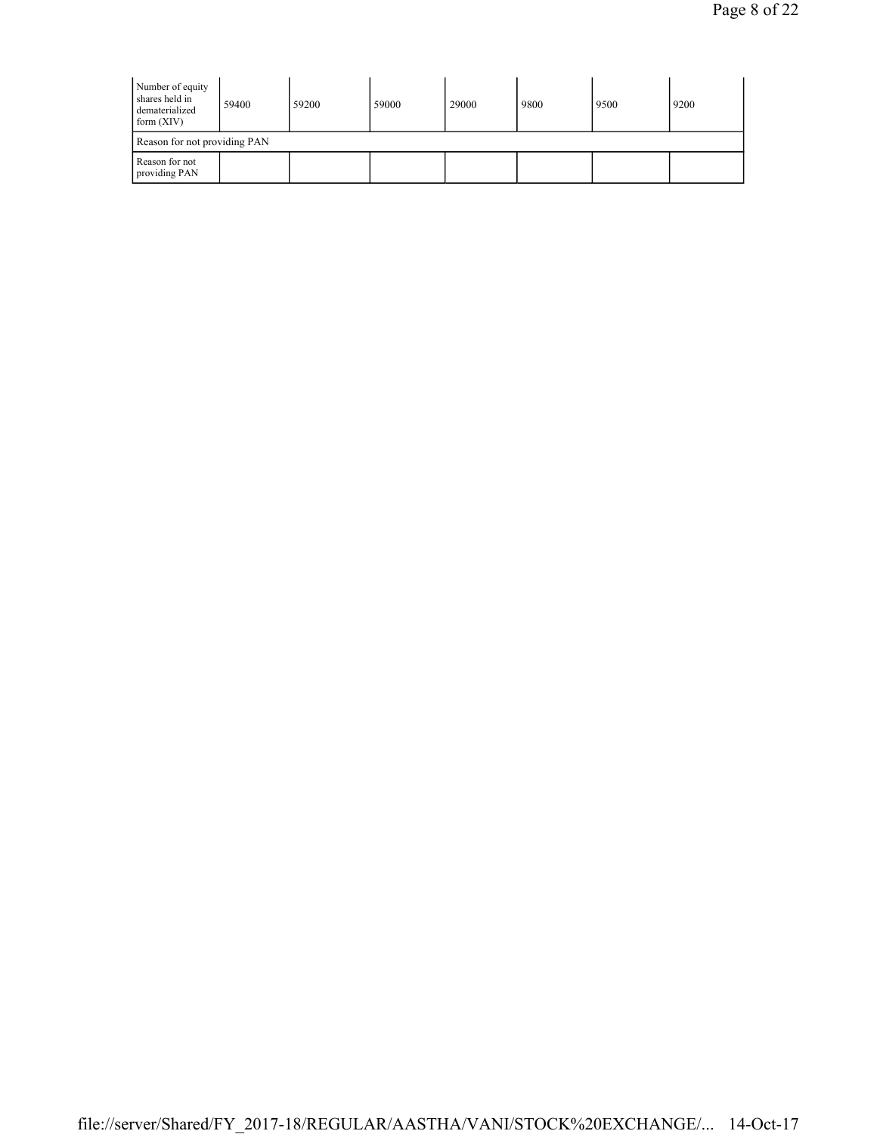| Number of equity<br>shares held in<br>dematerialized<br>form $(XIV)$ | 59400 | 59200 | 59000 | 29000 | 9800 | 9500 | 9200 |  |  |  |
|----------------------------------------------------------------------|-------|-------|-------|-------|------|------|------|--|--|--|
| Reason for not providing PAN                                         |       |       |       |       |      |      |      |  |  |  |
| Reason for not<br>providing PAN                                      |       |       |       |       |      |      |      |  |  |  |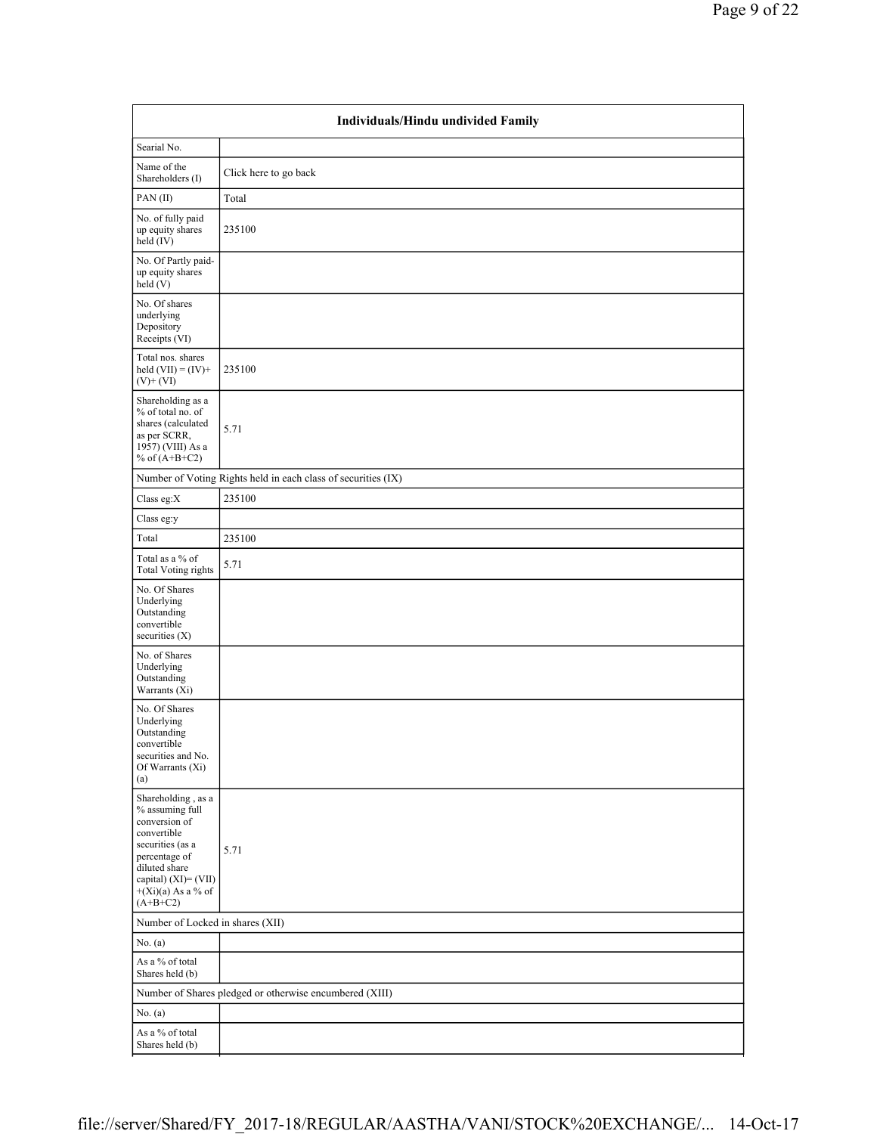|                                                                                                                                                                                           | Individuals/Hindu undivided Family                            |  |  |  |  |  |  |  |  |
|-------------------------------------------------------------------------------------------------------------------------------------------------------------------------------------------|---------------------------------------------------------------|--|--|--|--|--|--|--|--|
| Searial No.                                                                                                                                                                               |                                                               |  |  |  |  |  |  |  |  |
| Name of the<br>Shareholders (I)                                                                                                                                                           | Click here to go back                                         |  |  |  |  |  |  |  |  |
| PAN(II)                                                                                                                                                                                   | Total                                                         |  |  |  |  |  |  |  |  |
| No. of fully paid<br>up equity shares<br>held (IV)                                                                                                                                        | 235100                                                        |  |  |  |  |  |  |  |  |
| No. Of Partly paid-<br>up equity shares<br>held(V)                                                                                                                                        |                                                               |  |  |  |  |  |  |  |  |
| No. Of shares<br>underlying<br>Depository<br>Receipts (VI)                                                                                                                                |                                                               |  |  |  |  |  |  |  |  |
| Total nos. shares<br>held $(VII) = (IV) +$<br>$(V)$ + $(VI)$                                                                                                                              | 235100                                                        |  |  |  |  |  |  |  |  |
| Shareholding as a<br>% of total no. of<br>shares (calculated<br>as per SCRR,<br>1957) (VIII) As a<br>% of $(A+B+C2)$                                                                      | 5.71                                                          |  |  |  |  |  |  |  |  |
|                                                                                                                                                                                           | Number of Voting Rights held in each class of securities (IX) |  |  |  |  |  |  |  |  |
| Class eg:X                                                                                                                                                                                | 235100                                                        |  |  |  |  |  |  |  |  |
| Class eg:y                                                                                                                                                                                |                                                               |  |  |  |  |  |  |  |  |
| Total                                                                                                                                                                                     | 235100                                                        |  |  |  |  |  |  |  |  |
| Total as a % of<br><b>Total Voting rights</b>                                                                                                                                             | 5.71                                                          |  |  |  |  |  |  |  |  |
| No. Of Shares<br>Underlying<br>Outstanding<br>convertible<br>securities $(X)$                                                                                                             |                                                               |  |  |  |  |  |  |  |  |
| No. of Shares<br>Underlying<br>Outstanding<br>Warrants (Xi)                                                                                                                               |                                                               |  |  |  |  |  |  |  |  |
| No. Of Shares<br>Underlying<br>Outstanding<br>convertible<br>securities and No.<br>Of Warrants (Xi)<br>(a)                                                                                |                                                               |  |  |  |  |  |  |  |  |
| Shareholding, as a<br>% assuming full<br>conversion of<br>convertible<br>securities (as a<br>percentage of<br>diluted share<br>capital) (XI)= (VII)<br>$+(Xi)(a)$ As a % of<br>$(A+B+C2)$ | 5.71                                                          |  |  |  |  |  |  |  |  |
| Number of Locked in shares (XII)                                                                                                                                                          |                                                               |  |  |  |  |  |  |  |  |
| No. (a)                                                                                                                                                                                   |                                                               |  |  |  |  |  |  |  |  |
| As a % of total<br>Shares held (b)                                                                                                                                                        |                                                               |  |  |  |  |  |  |  |  |
|                                                                                                                                                                                           | Number of Shares pledged or otherwise encumbered (XIII)       |  |  |  |  |  |  |  |  |
| No. $(a)$                                                                                                                                                                                 |                                                               |  |  |  |  |  |  |  |  |
| As a % of total<br>Shares held (b)                                                                                                                                                        |                                                               |  |  |  |  |  |  |  |  |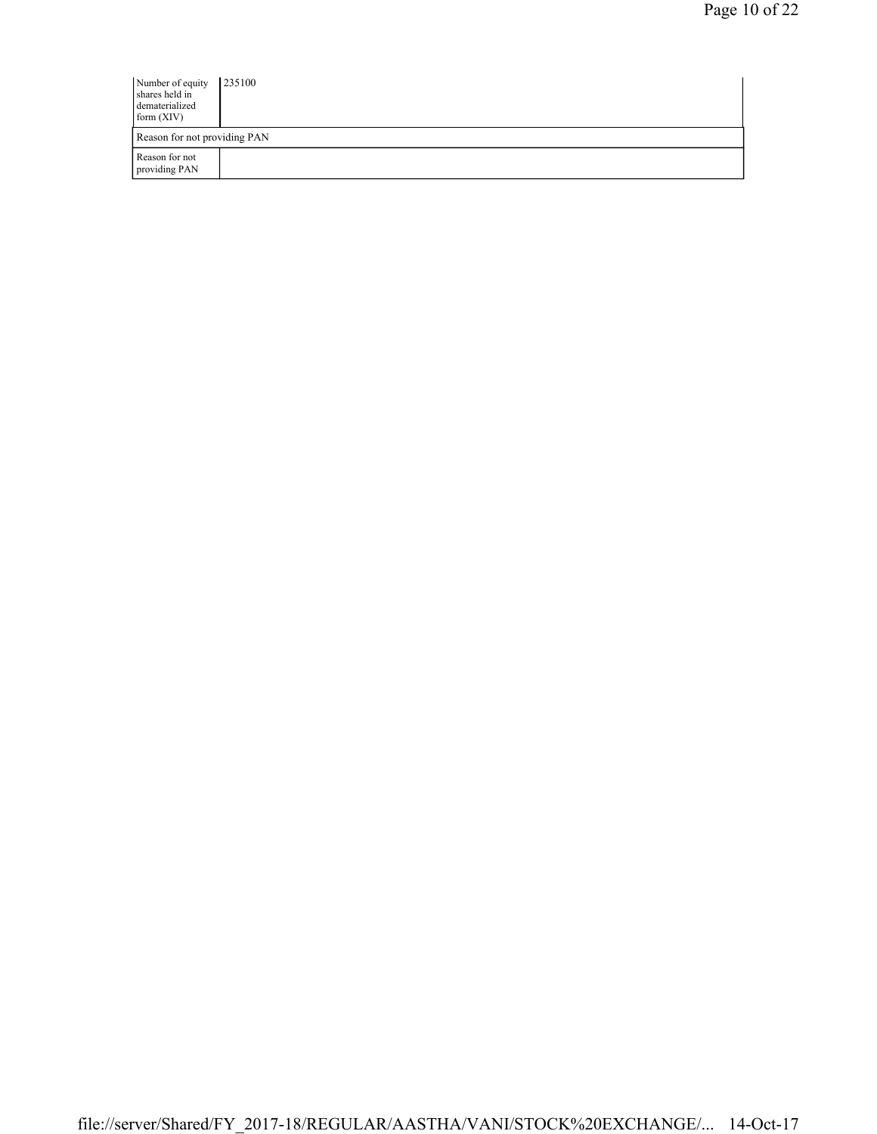| Number of equity<br>shares held in<br>dematerialized<br>form $(XIV)$ | 235100 |
|----------------------------------------------------------------------|--------|
| Reason for not providing PAN                                         |        |
| Reason for not<br>providing PAN                                      |        |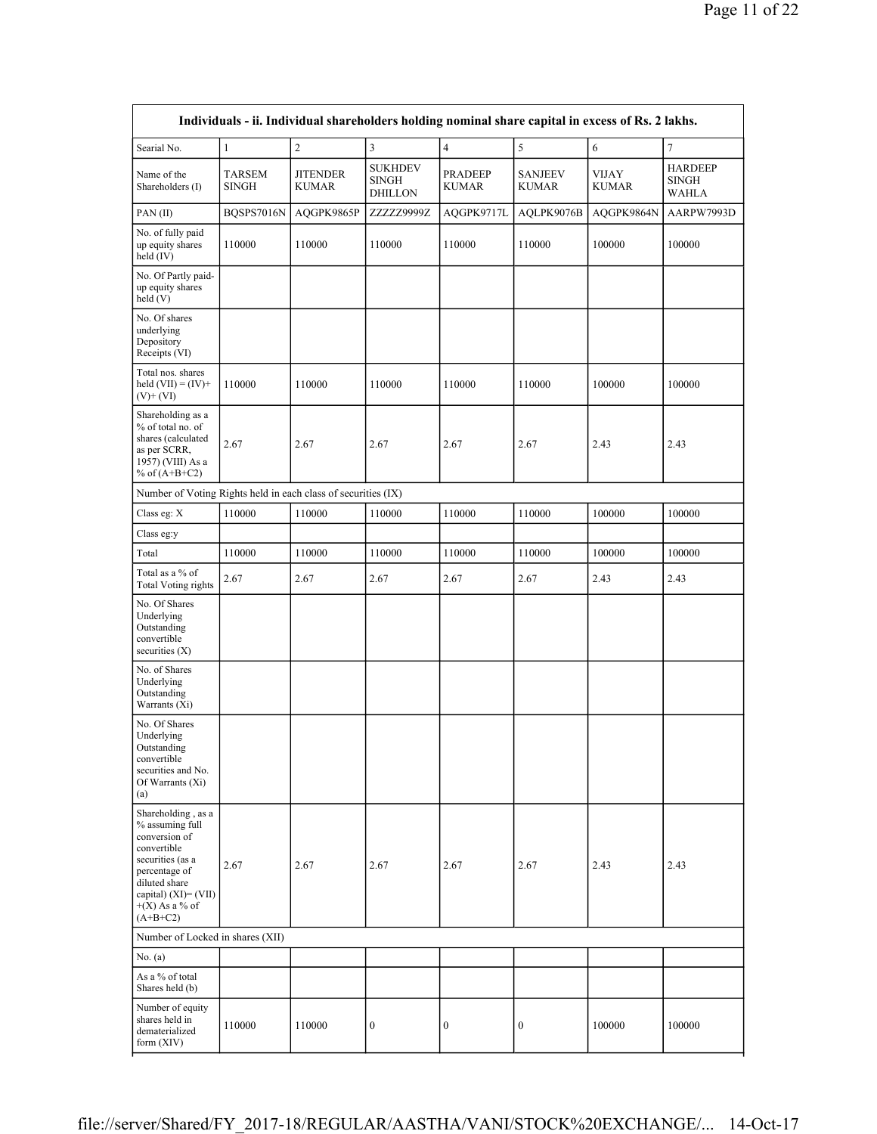|                                                                                                                                                                                          | Individuals - ii. Individual shareholders holding nominal share capital in excess of Rs. 2 lakhs. |                                 |                                                  |                                |                                |                       |                                                |  |  |  |  |  |
|------------------------------------------------------------------------------------------------------------------------------------------------------------------------------------------|---------------------------------------------------------------------------------------------------|---------------------------------|--------------------------------------------------|--------------------------------|--------------------------------|-----------------------|------------------------------------------------|--|--|--|--|--|
| Searial No.                                                                                                                                                                              | $\mathbf{1}$                                                                                      | $\mathbf{2}$                    | 3                                                | $\overline{4}$                 | 5                              | 6                     | $\tau$                                         |  |  |  |  |  |
| Name of the<br>Shareholders (I)                                                                                                                                                          | TARSEM<br><b>SINGH</b>                                                                            | <b>JITENDER</b><br><b>KUMAR</b> | <b>SUKHDEV</b><br><b>SINGH</b><br><b>DHILLON</b> | <b>PRADEEP</b><br><b>KUMAR</b> | <b>SANJEEV</b><br><b>KUMAR</b> | VIJAY<br><b>KUMAR</b> | <b>HARDEEP</b><br><b>SINGH</b><br><b>WAHLA</b> |  |  |  |  |  |
| PAN(II)                                                                                                                                                                                  | BQSPS7016N                                                                                        | AQGPK9865P                      | ZZZZZ9999Z                                       | AQGPK9717L                     | AQLPK9076B                     | AQGPK9864N            | AARPW7993D                                     |  |  |  |  |  |
| No. of fully paid<br>up equity shares<br>held (IV)                                                                                                                                       | 110000                                                                                            | 110000                          | 110000                                           | 110000                         | 110000                         | 100000                | 100000                                         |  |  |  |  |  |
| No. Of Partly paid-<br>up equity shares<br>held (V)                                                                                                                                      |                                                                                                   |                                 |                                                  |                                |                                |                       |                                                |  |  |  |  |  |
| No. Of shares<br>underlying<br>Depository<br>Receipts (VI)                                                                                                                               |                                                                                                   |                                 |                                                  |                                |                                |                       |                                                |  |  |  |  |  |
| Total nos. shares<br>held $(VII) = (IV) +$<br>$(V)+(VI)$                                                                                                                                 | 110000                                                                                            | 110000                          | 110000                                           | 110000                         | 110000                         | 100000                | 100000                                         |  |  |  |  |  |
| Shareholding as a<br>% of total no. of<br>shares (calculated<br>as per SCRR,<br>1957) (VIII) As a<br>% of $(A+B+C2)$                                                                     | 2.67                                                                                              | 2.67                            | 2.67                                             | 2.67                           | 2.67                           | 2.43                  | 2.43                                           |  |  |  |  |  |
| Number of Voting Rights held in each class of securities (IX)                                                                                                                            |                                                                                                   |                                 |                                                  |                                |                                |                       |                                                |  |  |  |  |  |
| Class eg: X                                                                                                                                                                              | 110000                                                                                            | 110000                          | 110000                                           | 110000                         | 110000                         | 100000                | 100000                                         |  |  |  |  |  |
| Class eg:y                                                                                                                                                                               |                                                                                                   |                                 |                                                  |                                |                                |                       |                                                |  |  |  |  |  |
| Total                                                                                                                                                                                    | 110000                                                                                            | 110000                          | 110000                                           | 110000                         | 110000                         | 100000                | 100000                                         |  |  |  |  |  |
| Total as a % of<br><b>Total Voting rights</b>                                                                                                                                            | 2.67                                                                                              | 2.67                            | 2.67                                             | 2.67                           | 2.67                           | 2.43                  | 2.43                                           |  |  |  |  |  |
| No. Of Shares<br>Underlying<br>Outstanding<br>convertible<br>securities $(X)$                                                                                                            |                                                                                                   |                                 |                                                  |                                |                                |                       |                                                |  |  |  |  |  |
| No. of Shares<br>Underlying<br>Outstanding<br>Warrants (Xi)                                                                                                                              |                                                                                                   |                                 |                                                  |                                |                                |                       |                                                |  |  |  |  |  |
| No. Of Shares<br>Underlying<br>Outstanding<br>convertible<br>securities and No.<br>Of Warrants (Xi)<br>(a)                                                                               |                                                                                                   |                                 |                                                  |                                |                                |                       |                                                |  |  |  |  |  |
| Shareholding, as a<br>% assuming full<br>conversion of<br>convertible<br>securities (as a<br>percentage of<br>diluted share<br>capital) $(XI) = (VII)$<br>$+(X)$ As a % of<br>$(A+B+C2)$ | 2.67                                                                                              | 2.67                            | 2.67                                             | 2.67                           | 2.67                           | 2.43                  | 2.43                                           |  |  |  |  |  |
| Number of Locked in shares (XII)                                                                                                                                                         |                                                                                                   |                                 |                                                  |                                |                                |                       |                                                |  |  |  |  |  |
| No. $(a)$                                                                                                                                                                                |                                                                                                   |                                 |                                                  |                                |                                |                       |                                                |  |  |  |  |  |
| As a % of total<br>Shares held (b)                                                                                                                                                       |                                                                                                   |                                 |                                                  |                                |                                |                       |                                                |  |  |  |  |  |
| Number of equity<br>shares held in<br>dematerialized<br>form (XIV)                                                                                                                       | 110000                                                                                            | 110000                          | $\boldsymbol{0}$                                 | 0                              | $\boldsymbol{0}$               | 100000                | 100000                                         |  |  |  |  |  |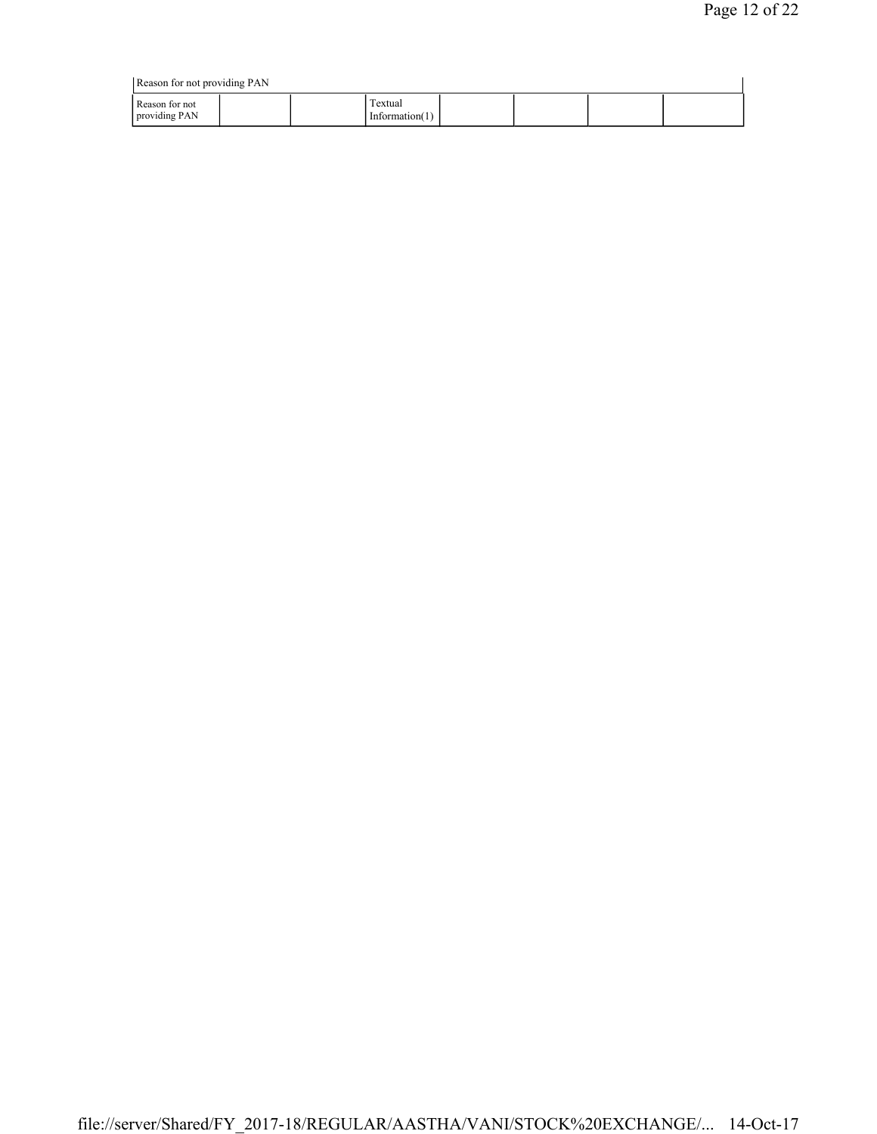|                                 | Reason for not providing PAN |                              |  |  |  |  |  |  |  |  |
|---------------------------------|------------------------------|------------------------------|--|--|--|--|--|--|--|--|
| Reason for not<br>providing PAN |                              | Textual<br>Information $(1)$ |  |  |  |  |  |  |  |  |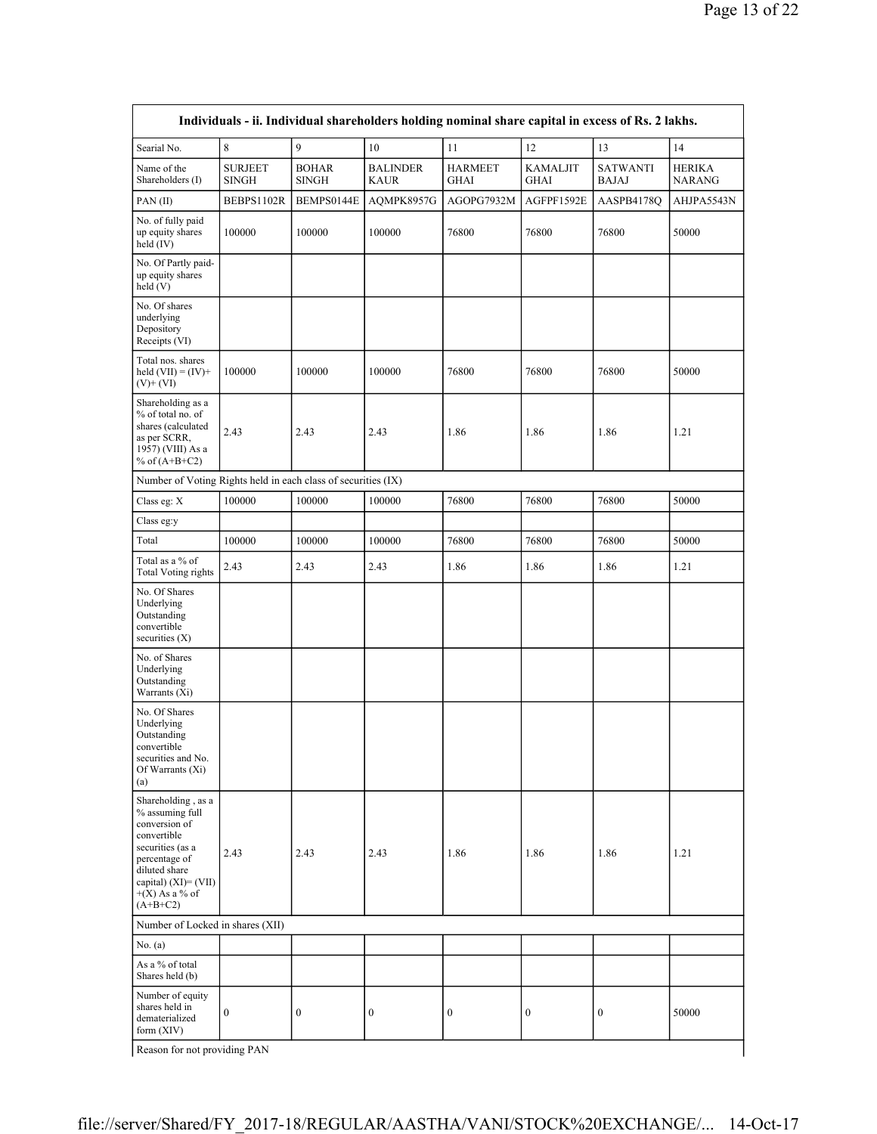| Individuals - ii. Individual shareholders holding nominal share capital in excess of Rs. 2 lakhs.                                                                                        |                                |                              |                                |                               |                                |                                 |                                |  |  |
|------------------------------------------------------------------------------------------------------------------------------------------------------------------------------------------|--------------------------------|------------------------------|--------------------------------|-------------------------------|--------------------------------|---------------------------------|--------------------------------|--|--|
| Searial No.                                                                                                                                                                              | 8                              | 9                            | 10                             | 11                            | 12                             | 13                              | 14                             |  |  |
| Name of the<br>Shareholders (I)                                                                                                                                                          | <b>SURJEET</b><br><b>SINGH</b> | <b>BOHAR</b><br><b>SINGH</b> | <b>BALINDER</b><br><b>KAUR</b> | <b>HARMEET</b><br><b>GHAI</b> | <b>KAMALJIT</b><br><b>GHAI</b> | <b>SATWANTI</b><br><b>BAJAJ</b> | <b>HERIKA</b><br><b>NARANG</b> |  |  |
| PAN(II)                                                                                                                                                                                  | BEBPS1102R                     | BEMPS0144E                   | AQMPK8957G                     | AGOPG7932M                    | AGFPF1592E                     | AASPB4178Q                      | AHJPA5543N                     |  |  |
| No. of fully paid<br>up equity shares<br>held (IV)                                                                                                                                       | 100000                         | 100000                       | 100000                         | 76800                         | 76800                          | 76800                           | 50000                          |  |  |
| No. Of Partly paid-<br>up equity shares<br>held(V)                                                                                                                                       |                                |                              |                                |                               |                                |                                 |                                |  |  |
| No. Of shares<br>underlying<br>Depository<br>Receipts (VI)                                                                                                                               |                                |                              |                                |                               |                                |                                 |                                |  |  |
| Total nos. shares<br>held $(VII) = (IV) +$<br>$(V)$ + $(VI)$                                                                                                                             | 100000                         | 100000                       | 100000                         | 76800                         | 76800                          | 76800                           | 50000                          |  |  |
| Shareholding as a<br>% of total no. of<br>shares (calculated<br>as per SCRR,<br>1957) (VIII) As a<br>% of $(A+B+C2)$                                                                     | 2.43                           | 2.43                         | 2.43                           | 1.86                          | 1.86                           | 1.86                            | 1.21                           |  |  |
| Number of Voting Rights held in each class of securities (IX)                                                                                                                            |                                |                              |                                |                               |                                |                                 |                                |  |  |
| Class eg: X                                                                                                                                                                              | 100000                         | 100000                       | 100000                         | 76800                         | 76800                          | 76800                           | 50000                          |  |  |
| Class eg:y                                                                                                                                                                               |                                |                              |                                |                               |                                |                                 |                                |  |  |
| Total                                                                                                                                                                                    | 100000                         | 100000                       | 100000                         | 76800                         | 76800                          | 76800                           | 50000                          |  |  |
| Total as a % of<br><b>Total Voting rights</b>                                                                                                                                            | 2.43                           | 2.43                         | 2.43                           | 1.86                          | 1.86                           | 1.86                            | 1.21                           |  |  |
| No. Of Shares<br>Underlying<br>Outstanding<br>convertible<br>securities $(X)$                                                                                                            |                                |                              |                                |                               |                                |                                 |                                |  |  |
| No. of Shares<br>Underlying<br>Outstanding<br>Warrants (Xi)                                                                                                                              |                                |                              |                                |                               |                                |                                 |                                |  |  |
| No. Of Shares<br>Underlying<br>Outstanding<br>convertible<br>securities and No.<br>Of Warrants (Xi)<br>(a)                                                                               |                                |                              |                                |                               |                                |                                 |                                |  |  |
| Shareholding, as a<br>% assuming full<br>conversion of<br>convertible<br>securities (as a<br>percentage of<br>diluted share<br>capital) $(XI) = (VII)$<br>$+(X)$ As a % of<br>$(A+B+C2)$ | 2.43                           | 2.43                         | 2.43                           | 1.86                          | 1.86                           | 1.86                            | 1.21                           |  |  |
| Number of Locked in shares (XII)                                                                                                                                                         |                                |                              |                                |                               |                                |                                 |                                |  |  |
| No. $(a)$                                                                                                                                                                                |                                |                              |                                |                               |                                |                                 |                                |  |  |
| As a % of total<br>Shares held (b)                                                                                                                                                       |                                |                              |                                |                               |                                |                                 |                                |  |  |
| Number of equity<br>shares held in<br>dematerialized<br>form (XIV)                                                                                                                       | $\boldsymbol{0}$               | $\boldsymbol{0}$             | $\boldsymbol{0}$               | $\boldsymbol{0}$              | $\boldsymbol{0}$               | $\boldsymbol{0}$                | 50000                          |  |  |
| Reason for not providing PAN                                                                                                                                                             |                                |                              |                                |                               |                                |                                 |                                |  |  |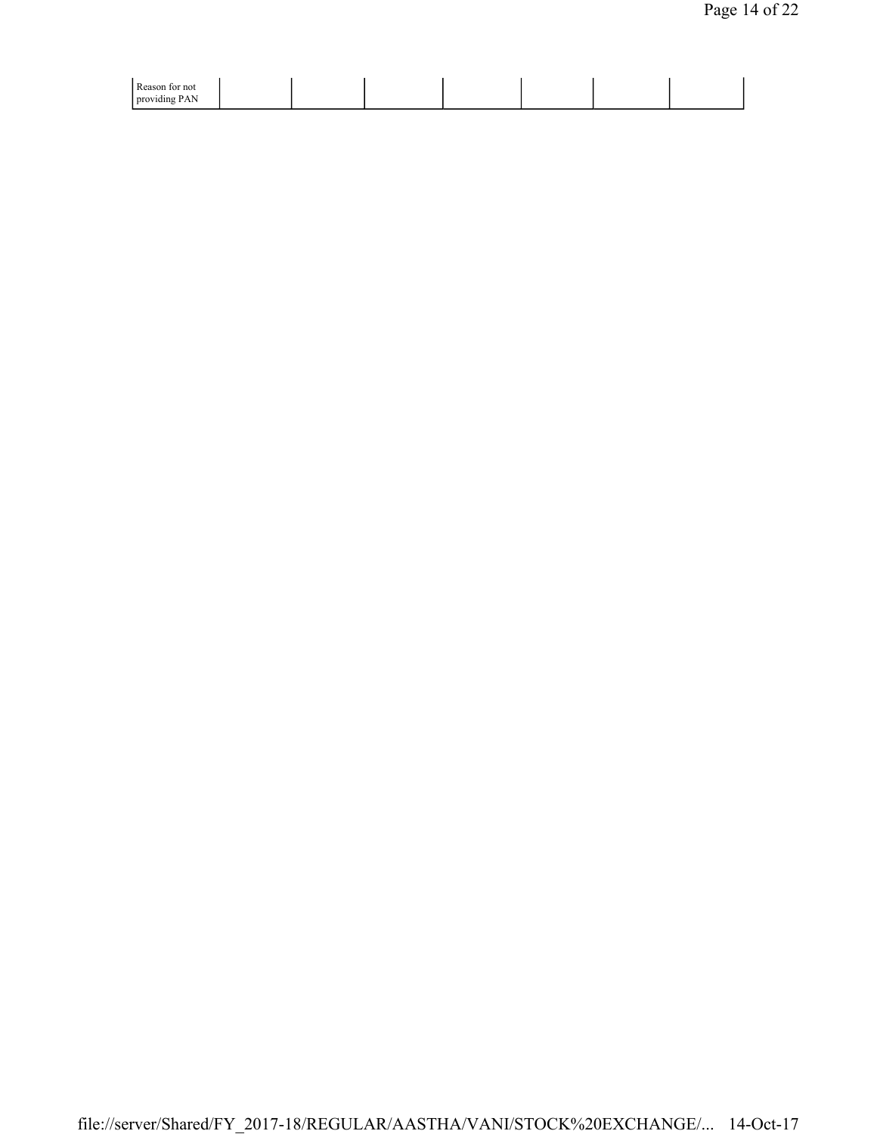| Reason for not<br>providing PAN |
|---------------------------------|
|---------------------------------|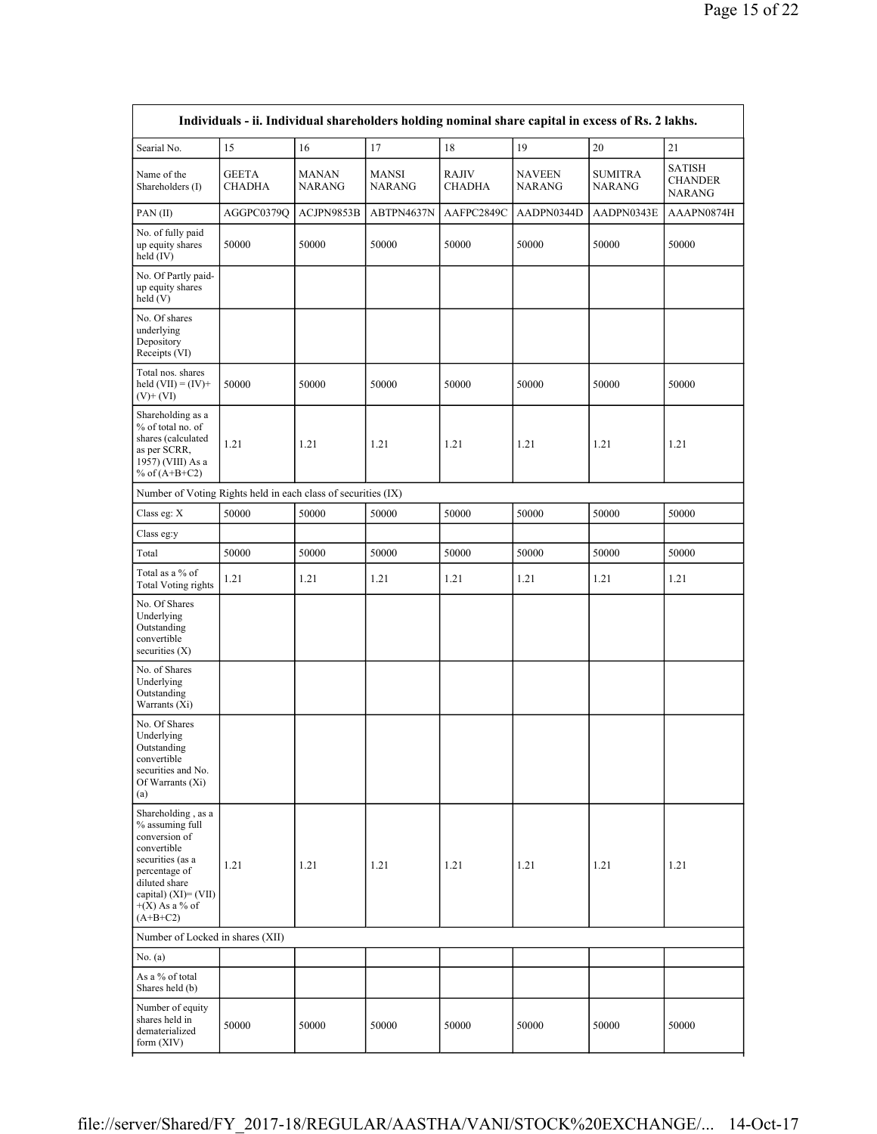| Individuals - ii. Individual shareholders holding nominal share capital in excess of Rs. 2 lakhs.                                                                                        |                               |                               |                               |                               |                                |                                 |                                           |  |  |
|------------------------------------------------------------------------------------------------------------------------------------------------------------------------------------------|-------------------------------|-------------------------------|-------------------------------|-------------------------------|--------------------------------|---------------------------------|-------------------------------------------|--|--|
| Searial No.                                                                                                                                                                              | 15                            | 16                            | 17                            | 18                            | 19                             | 20                              | 21                                        |  |  |
| Name of the<br>Shareholders (I)                                                                                                                                                          | <b>GEETA</b><br><b>CHADHA</b> | <b>MANAN</b><br><b>NARANG</b> | <b>MANSI</b><br><b>NARANG</b> | <b>RAJIV</b><br><b>CHADHA</b> | <b>NAVEEN</b><br><b>NARANG</b> | <b>SUMITRA</b><br><b>NARANG</b> | SATISH<br><b>CHANDER</b><br><b>NARANG</b> |  |  |
| PAN(II)                                                                                                                                                                                  | AGGPC0379Q                    | ACJPN9853B                    | ABTPN4637N                    | AAFPC2849C                    | AADPN0344D                     | AADPN0343E                      | AAAPN0874H                                |  |  |
| No. of fully paid<br>up equity shares<br>held (IV)                                                                                                                                       | 50000                         | 50000                         | 50000                         | 50000                         | 50000                          | 50000                           | 50000                                     |  |  |
| No. Of Partly paid-<br>up equity shares<br>held (V)                                                                                                                                      |                               |                               |                               |                               |                                |                                 |                                           |  |  |
| No. Of shares<br>underlying<br>Depository<br>Receipts (VI)                                                                                                                               |                               |                               |                               |                               |                                |                                 |                                           |  |  |
| Total nos. shares<br>held $(VII) = (IV) +$<br>$(V)+(VI)$                                                                                                                                 | 50000                         | 50000                         | 50000                         | 50000                         | 50000                          | 50000                           | 50000                                     |  |  |
| Shareholding as a<br>% of total no. of<br>shares (calculated<br>as per SCRR,<br>1957) (VIII) As a<br>% of $(A+B+C2)$                                                                     | 1.21                          | 1.21                          | 1.21                          | 1.21                          | 1.21                           | 1.21                            | 1.21                                      |  |  |
| Number of Voting Rights held in each class of securities (IX)                                                                                                                            |                               |                               |                               |                               |                                |                                 |                                           |  |  |
| Class eg: X                                                                                                                                                                              | 50000                         | 50000                         | 50000                         | 50000                         | 50000                          | 50000                           | 50000                                     |  |  |
| Class eg:y                                                                                                                                                                               |                               |                               |                               |                               |                                |                                 |                                           |  |  |
| Total                                                                                                                                                                                    | 50000                         | 50000                         | 50000                         | 50000                         | 50000                          | 50000                           | 50000                                     |  |  |
| Total as a % of<br><b>Total Voting rights</b>                                                                                                                                            | 1.21                          | 1.21                          | 1.21                          | 1.21                          | 1.21                           | 1.21                            | 1.21                                      |  |  |
| No. Of Shares<br>Underlying<br>Outstanding<br>convertible<br>securities $(X)$                                                                                                            |                               |                               |                               |                               |                                |                                 |                                           |  |  |
| No. of Shares<br>Underlying<br>Outstanding<br>Warrants (Xi)                                                                                                                              |                               |                               |                               |                               |                                |                                 |                                           |  |  |
| No. Of Shares<br>Underlying<br>Outstanding<br>convertible<br>securities and No.<br>Of Warrants (Xi)<br>(a)                                                                               |                               |                               |                               |                               |                                |                                 |                                           |  |  |
| Shareholding, as a<br>% assuming full<br>conversion of<br>convertible<br>securities (as a<br>percentage of<br>diluted share<br>capital) $(XI) = (VII)$<br>$+(X)$ As a % of<br>$(A+B+C2)$ | 1.21                          | 1.21                          | 1.21                          | 1.21                          | 1.21                           | 1.21                            | 1.21                                      |  |  |
| Number of Locked in shares (XII)                                                                                                                                                         |                               |                               |                               |                               |                                |                                 |                                           |  |  |
| No. $(a)$                                                                                                                                                                                |                               |                               |                               |                               |                                |                                 |                                           |  |  |
| As a % of total<br>Shares held (b)                                                                                                                                                       |                               |                               |                               |                               |                                |                                 |                                           |  |  |
| Number of equity<br>shares held in<br>dematerialized<br>form (XIV)                                                                                                                       | 50000                         | 50000                         | 50000                         | 50000                         | 50000                          | $50000\,$                       | 50000                                     |  |  |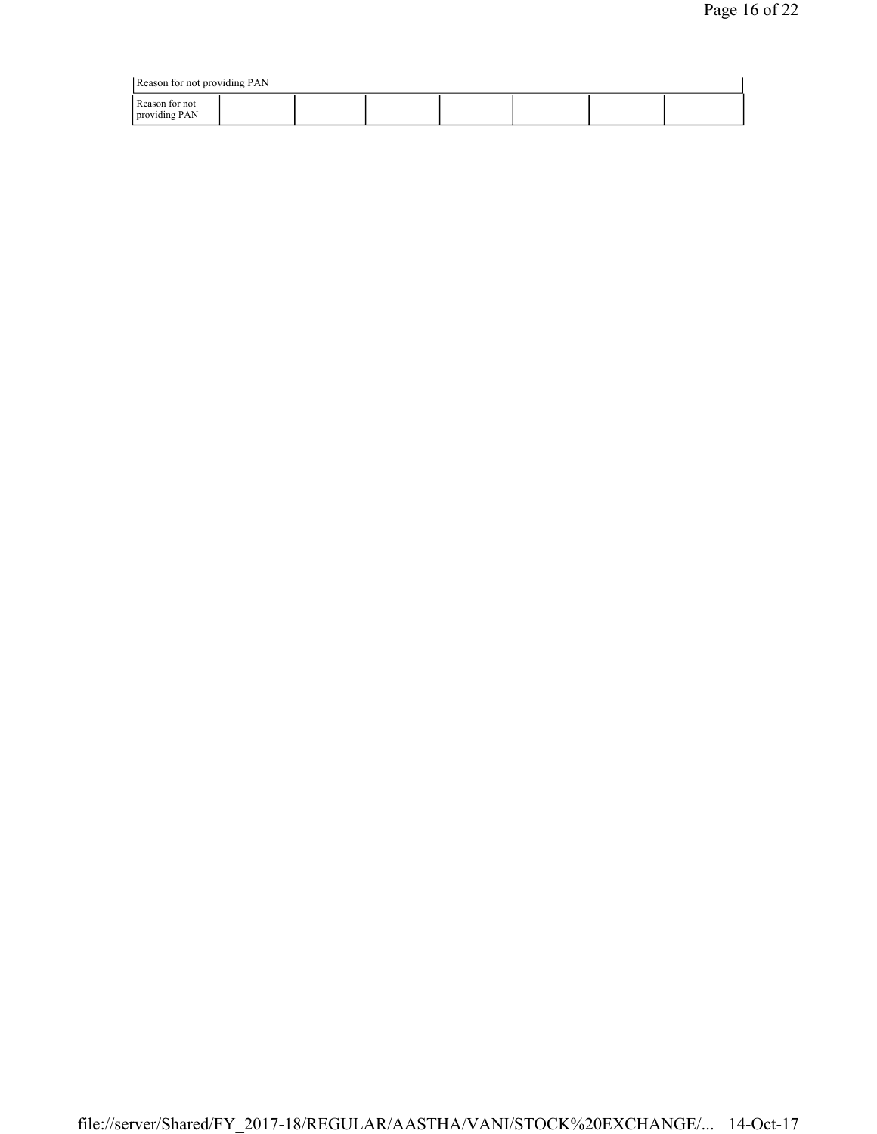| Reason for not providing PAN    |  |  |  |  |  |  |  |
|---------------------------------|--|--|--|--|--|--|--|
| Reason for not<br>providing PAN |  |  |  |  |  |  |  |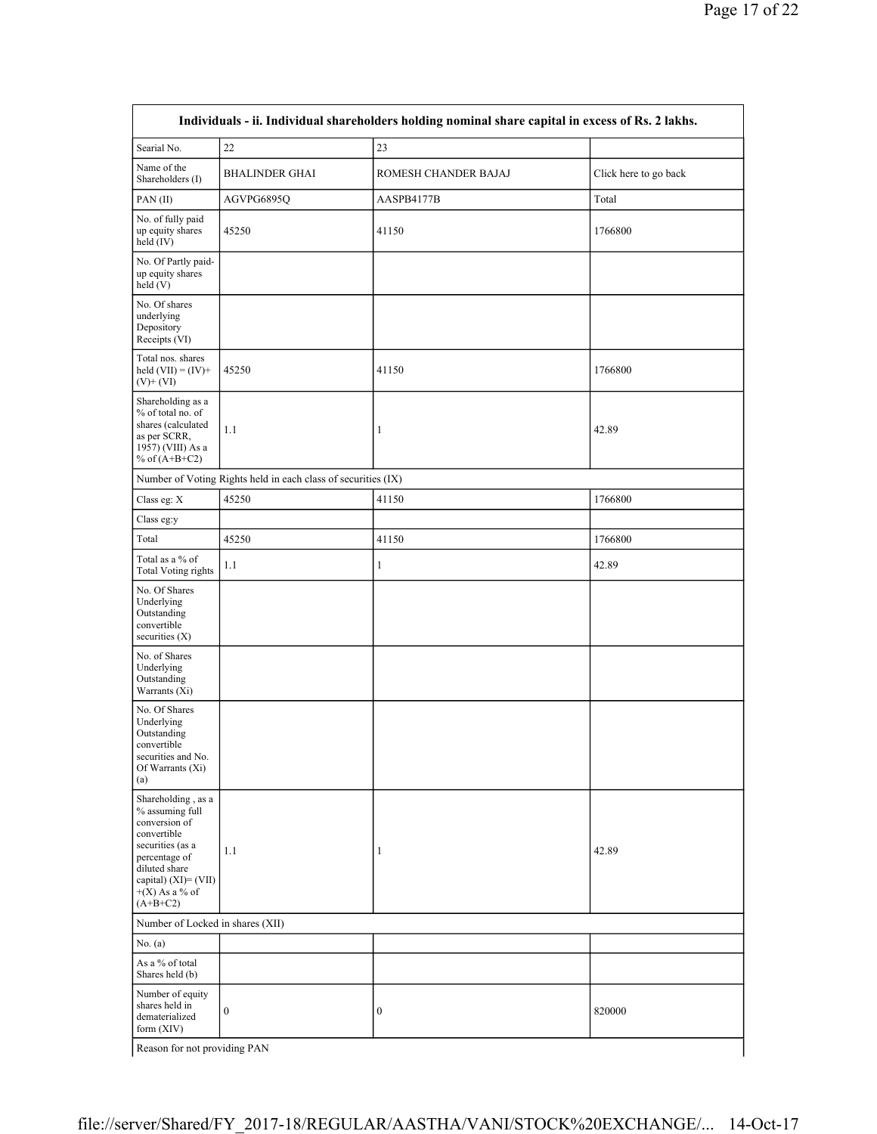| Individuals - ii. Individual shareholders holding nominal share capital in excess of Rs. 2 lakhs.                                                                                        |                                                               |                      |                       |  |  |  |  |
|------------------------------------------------------------------------------------------------------------------------------------------------------------------------------------------|---------------------------------------------------------------|----------------------|-----------------------|--|--|--|--|
| Searial No.                                                                                                                                                                              | 22                                                            | 23                   |                       |  |  |  |  |
| Name of the<br>Shareholders (I)                                                                                                                                                          | <b>BHALINDER GHAI</b>                                         | ROMESH CHANDER BAJAJ | Click here to go back |  |  |  |  |
| PAN(II)                                                                                                                                                                                  | AGVPG6895Q                                                    | AASPB4177B           | Total                 |  |  |  |  |
| No. of fully paid<br>up equity shares<br>held $(IV)$                                                                                                                                     | 45250                                                         | 41150                | 1766800               |  |  |  |  |
| No. Of Partly paid-<br>up equity shares<br>held (V)                                                                                                                                      |                                                               |                      |                       |  |  |  |  |
| No. Of shares<br>underlying<br>Depository<br>Receipts (VI)                                                                                                                               |                                                               |                      |                       |  |  |  |  |
| Total nos. shares<br>held $(VII) = (IV) +$<br>$(V)+(VI)$                                                                                                                                 | 45250                                                         | 41150                | 1766800               |  |  |  |  |
| Shareholding as a<br>% of total no. of<br>shares (calculated<br>as per SCRR,<br>1957) (VIII) As a<br>% of $(A+B+C2)$                                                                     | 1.1                                                           | $\mathbf{1}$         | 42.89                 |  |  |  |  |
|                                                                                                                                                                                          | Number of Voting Rights held in each class of securities (IX) |                      |                       |  |  |  |  |
| Class eg: X                                                                                                                                                                              | 45250                                                         | 41150                | 1766800               |  |  |  |  |
| Class eg:y                                                                                                                                                                               |                                                               |                      |                       |  |  |  |  |
| Total                                                                                                                                                                                    | 45250                                                         | 41150                | 1766800               |  |  |  |  |
| Total as a % of<br>Total Voting rights                                                                                                                                                   | 1.1                                                           | 1                    | 42.89                 |  |  |  |  |
| No. Of Shares<br>Underlying<br>Outstanding<br>convertible<br>securities $(X)$                                                                                                            |                                                               |                      |                       |  |  |  |  |
| No. of Shares<br>Underlying<br>Outstanding<br>Warrants (Xi)                                                                                                                              |                                                               |                      |                       |  |  |  |  |
| No. Of Shares<br>Underlying<br>Outstanding<br>convertible<br>securities and No.<br>Of Warrants (Xi)<br>(a)                                                                               |                                                               |                      |                       |  |  |  |  |
| Shareholding, as a<br>% assuming full<br>conversion of<br>convertible<br>securities (as a<br>percentage of<br>diluted share<br>capital) $(XI) = (VII)$<br>$+(X)$ As a % of<br>$(A+B+C2)$ | 1.1                                                           | 1                    | 42.89                 |  |  |  |  |
| Number of Locked in shares (XII)                                                                                                                                                         |                                                               |                      |                       |  |  |  |  |
| No. (a)                                                                                                                                                                                  |                                                               |                      |                       |  |  |  |  |
| As a % of total<br>Shares held (b)                                                                                                                                                       |                                                               |                      |                       |  |  |  |  |
| Number of equity<br>shares held in<br>dematerialized<br>form (XIV)                                                                                                                       | $\boldsymbol{0}$                                              | $\boldsymbol{0}$     | 820000                |  |  |  |  |
| Reason for not providing PAN                                                                                                                                                             |                                                               |                      |                       |  |  |  |  |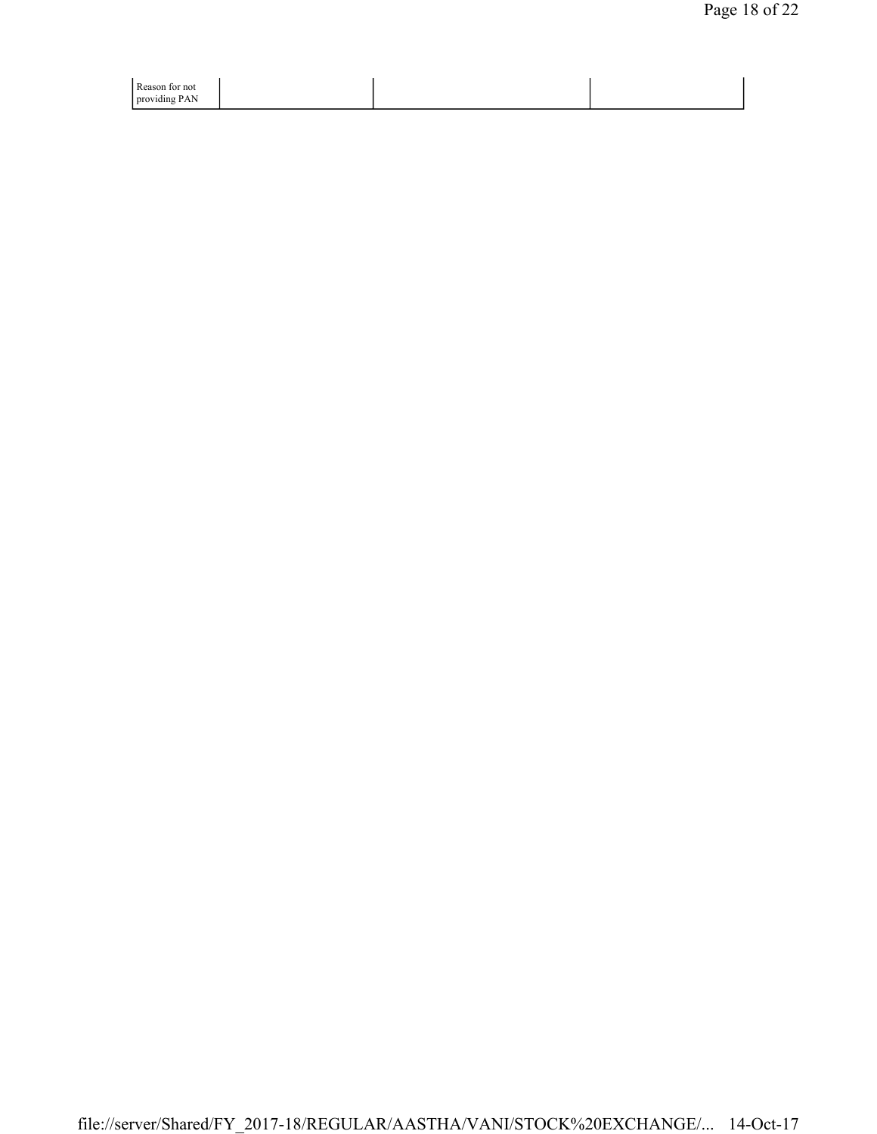| Reason for not |  |
|----------------|--|
| providing PAN  |  |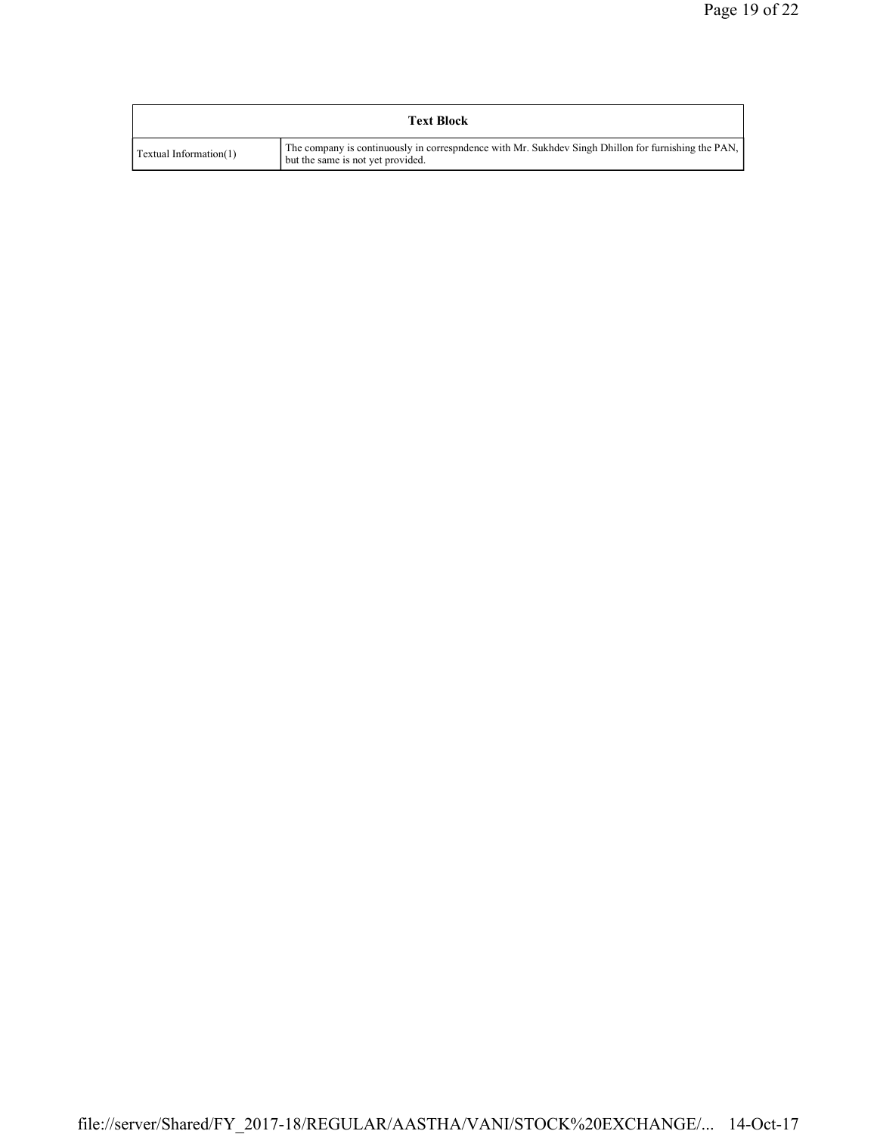| <b>Text Block</b>      |                                                                                                                                           |  |  |  |  |
|------------------------|-------------------------------------------------------------------------------------------------------------------------------------------|--|--|--|--|
| Textual Information(1) | The company is continuously in correspondence with Mr. Sukhdev Singh Dhillon for furnishing the PAN,<br>but the same is not yet provided. |  |  |  |  |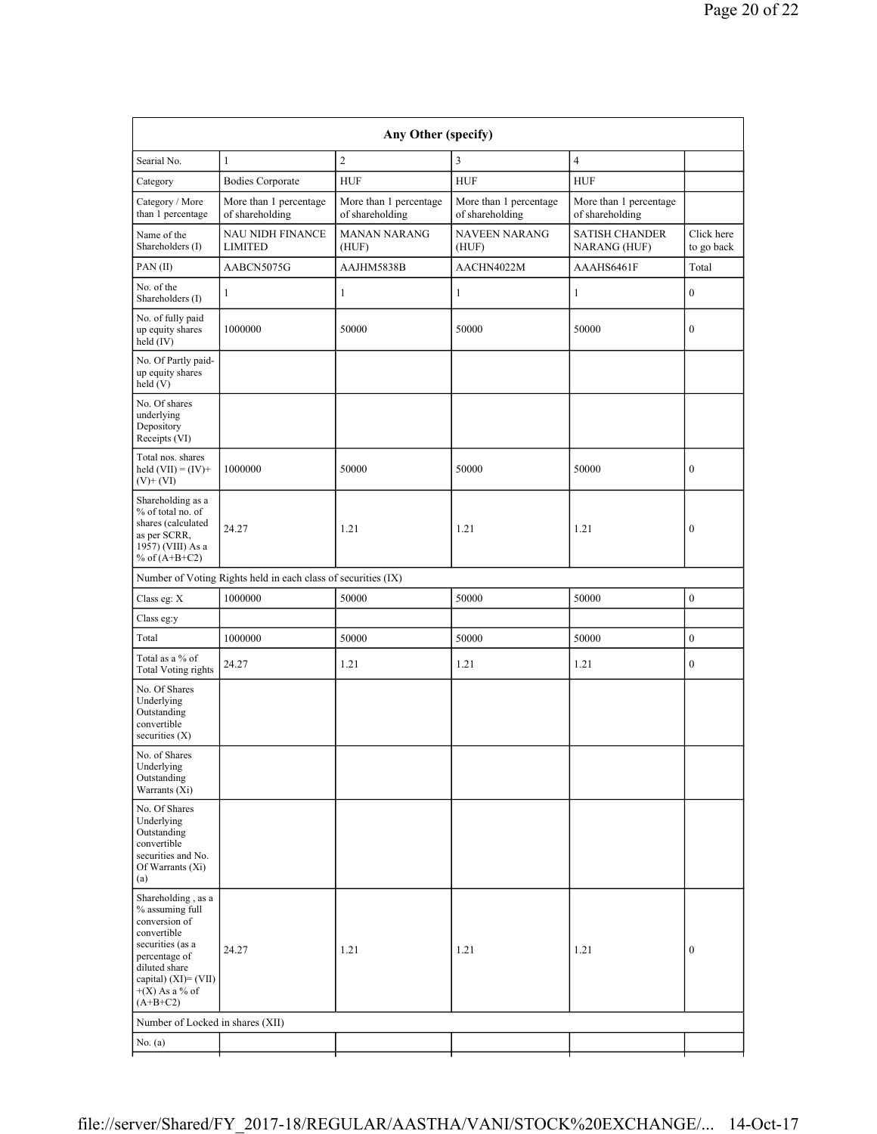| Searial No.                                                                                                                                                                           | $\mathbf{1}$                                                  | $\overline{2}$                            | $\overline{3}$                            | $\overline{4}$                            |                          |
|---------------------------------------------------------------------------------------------------------------------------------------------------------------------------------------|---------------------------------------------------------------|-------------------------------------------|-------------------------------------------|-------------------------------------------|--------------------------|
| Category                                                                                                                                                                              | <b>Bodies Corporate</b>                                       | <b>HUF</b>                                | ${\rm HUF}$                               | <b>HUF</b>                                |                          |
| Category / More<br>than 1 percentage                                                                                                                                                  | More than 1 percentage<br>of shareholding                     | More than 1 percentage<br>of shareholding | More than 1 percentage<br>of shareholding | More than 1 percentage<br>of shareholding |                          |
| Name of the<br>Shareholders (I)                                                                                                                                                       | <b>NAU NIDH FINANCE</b><br><b>LIMITED</b>                     | <b>MANAN NARANG</b><br>(HUF)              | NAVEEN NARANG<br>(HUF)                    | <b>SATISH CHANDER</b><br>NARANG (HUF)     | Click here<br>to go back |
| PAN(II)                                                                                                                                                                               | AABCN5075G                                                    | AAJHM5838B                                | AACHN4022M                                | AAAHS6461F                                | Total                    |
| No. of the<br>Shareholders (I)                                                                                                                                                        | 1                                                             | $\mathbf{1}$                              | $\mathbf{1}$                              | $\mathbf{1}$                              | $\boldsymbol{0}$         |
| No. of fully paid<br>up equity shares<br>held (IV)                                                                                                                                    | 1000000                                                       | 50000                                     | 50000                                     | 50000                                     | $\boldsymbol{0}$         |
| No. Of Partly paid-<br>up equity shares<br>held(V)                                                                                                                                    |                                                               |                                           |                                           |                                           |                          |
| No. Of shares<br>underlying<br>Depository<br>Receipts (VI)                                                                                                                            |                                                               |                                           |                                           |                                           |                          |
| Total nos. shares<br>held $(VII) = (IV) +$<br>$(V)$ + $(VI)$                                                                                                                          | 1000000                                                       | 50000                                     | 50000                                     | 50000                                     | $\boldsymbol{0}$         |
| Shareholding as a<br>% of total no. of<br>shares (calculated<br>as per SCRR,<br>1957) (VIII) As a<br>% of $(A+B+C2)$                                                                  | 24.27                                                         | 1.21                                      | 1.21                                      | 1.21                                      | $\boldsymbol{0}$         |
|                                                                                                                                                                                       | Number of Voting Rights held in each class of securities (IX) |                                           |                                           |                                           |                          |
| Class eg: X                                                                                                                                                                           | 1000000                                                       | 50000                                     | 50000                                     | 50000                                     | $\boldsymbol{0}$         |
| Class eg:y                                                                                                                                                                            |                                                               |                                           |                                           |                                           |                          |
| Total                                                                                                                                                                                 | 1000000                                                       | 50000                                     | 50000                                     | 50000                                     | $\bf{0}$                 |
| Total as a % of<br><b>Total Voting rights</b>                                                                                                                                         | 24.27                                                         | 1.21                                      | 1.21                                      | 1.21                                      | $\boldsymbol{0}$         |
| No. Of Shares<br>Underlying<br>Outstanding<br>convertible<br>securities $(X)$                                                                                                         |                                                               |                                           |                                           |                                           |                          |
| No. of Shares<br>Underlying<br>Outstanding<br>Warrants (Xi)                                                                                                                           |                                                               |                                           |                                           |                                           |                          |
| No. Of Shares<br>Underlying<br>Outstanding<br>convertible<br>securities and No.<br>Of Warrants (Xi)<br>(a)                                                                            |                                                               |                                           |                                           |                                           |                          |
| Shareholding, as a<br>% assuming full<br>conversion of<br>convertible<br>securities (as a<br>percentage of<br>diluted share<br>capital) (XI)= (VII)<br>$+(X)$ As a % of<br>$(A+B+C2)$ | 24.27                                                         | 1.21                                      | 1.21                                      | 1.21                                      | $\bf{0}$                 |
| Number of Locked in shares (XII)                                                                                                                                                      |                                                               |                                           |                                           |                                           |                          |